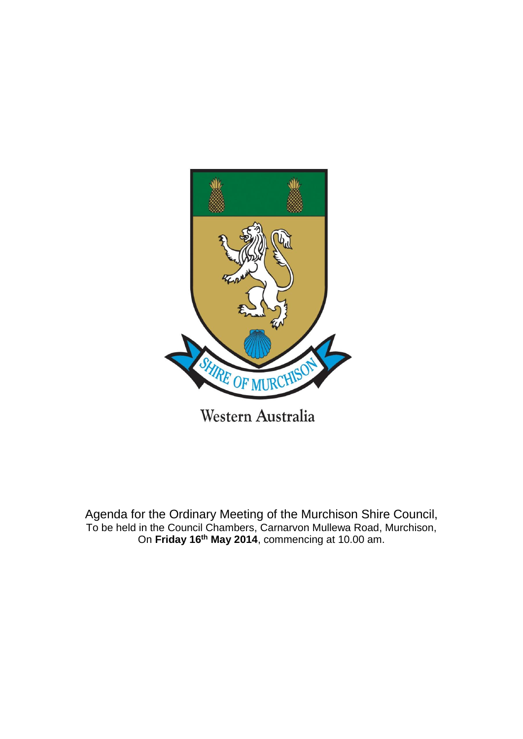

Agenda for the Ordinary Meeting of the Murchison Shire Council, To be held in the Council Chambers, Carnarvon Mullewa Road, Murchison, On **Friday 16th May 2014**, commencing at 10.00 am.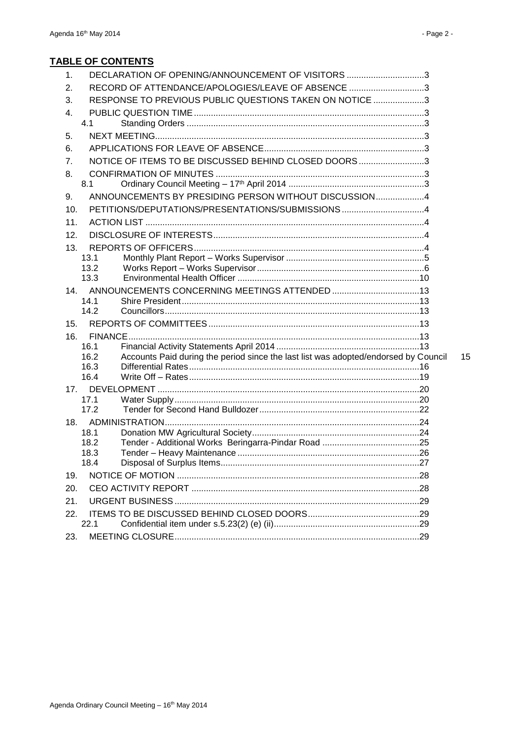## **TABLE OF CONTENTS**

| 1.  | DECLARATION OF OPENING/ANNOUNCEMENT OF VISITORS 3                                           |  |
|-----|---------------------------------------------------------------------------------------------|--|
| 2.  | RECORD OF ATTENDANCE/APOLOGIES/LEAVE OF ABSENCE 3                                           |  |
| 3.  | RESPONSE TO PREVIOUS PUBLIC QUESTIONS TAKEN ON NOTICE 3                                     |  |
| 4.  |                                                                                             |  |
|     | 4.1                                                                                         |  |
| 5.  |                                                                                             |  |
| 6.  |                                                                                             |  |
| 7.  | NOTICE OF ITEMS TO BE DISCUSSED BEHIND CLOSED DOORS3                                        |  |
| 8.  |                                                                                             |  |
|     | 8.1                                                                                         |  |
| 9.  | ANNOUNCEMENTS BY PRESIDING PERSON WITHOUT DISCUSSION4                                       |  |
| 10. |                                                                                             |  |
| 11. |                                                                                             |  |
| 12. |                                                                                             |  |
| 13. |                                                                                             |  |
|     | 13.1                                                                                        |  |
|     | 13.2                                                                                        |  |
|     | 13.3                                                                                        |  |
|     | 14. ANNOUNCEMENTS CONCERNING MEETINGS ATTENDED 13                                           |  |
|     | 14.1<br>14.2                                                                                |  |
| 15. |                                                                                             |  |
| 16. |                                                                                             |  |
|     | 16.1                                                                                        |  |
|     | Accounts Paid during the period since the last list was adopted/endorsed by Council<br>16.2 |  |
|     | 16.3                                                                                        |  |
|     | 16.4                                                                                        |  |
|     |                                                                                             |  |
|     | 17.1<br>17.2                                                                                |  |
|     |                                                                                             |  |
|     | 18.1                                                                                        |  |
|     | 18.2                                                                                        |  |
|     | 18.3                                                                                        |  |
|     | 18.4                                                                                        |  |
| 19. |                                                                                             |  |
| 20. |                                                                                             |  |
| 21. |                                                                                             |  |
| 22. |                                                                                             |  |
|     | 22.1                                                                                        |  |
| 23. |                                                                                             |  |

15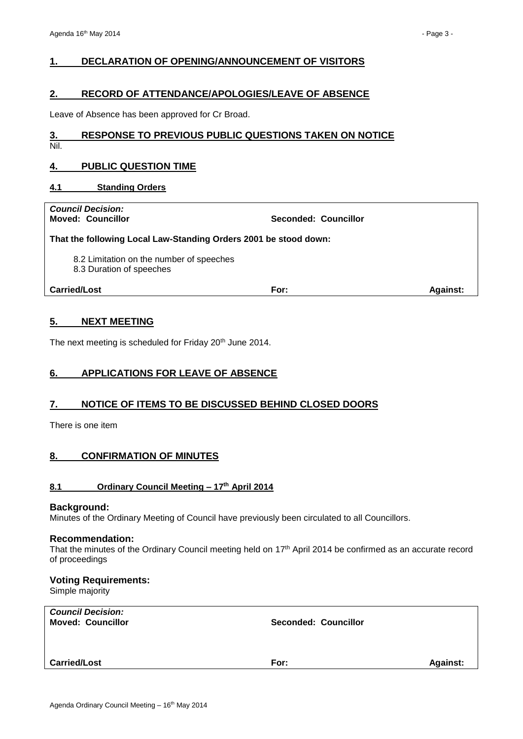## <span id="page-2-0"></span>**1. DECLARATION OF OPENING/ANNOUNCEMENT OF VISITORS**

## <span id="page-2-1"></span>**2. RECORD OF ATTENDANCE/APOLOGIES/LEAVE OF ABSENCE**

Leave of Absence has been approved for Cr Broad.

## <span id="page-2-2"></span>**3. RESPONSE TO PREVIOUS PUBLIC QUESTIONS TAKEN ON NOTICE**

Nil.

## <span id="page-2-3"></span>**4. PUBLIC QUESTION TIME**

## <span id="page-2-4"></span>**4.1 Standing Orders**

## *Council Decision:*

**Moved: Councillor Seconded: Councillor**

#### **That the following Local Law-Standing Orders 2001 be stood down:**

8.2 Limitation on the number of speeches

8.3 Duration of speeches

**Carried/Lost For: Against:**

## <span id="page-2-5"></span>**5. NEXT MEETING**

The next meeting is scheduled for Friday 20<sup>th</sup> June 2014.

## <span id="page-2-6"></span>**6. APPLICATIONS FOR LEAVE OF ABSENCE**

## <span id="page-2-7"></span>**7. NOTICE OF ITEMS TO BE DISCUSSED BEHIND CLOSED DOORS**

There is one item

## <span id="page-2-8"></span>**8. CONFIRMATION OF MINUTES**

## <span id="page-2-9"></span>**8.1 Ordinary Council Meeting – 17th April 2014**

#### **Background:**

Minutes of the Ordinary Meeting of Council have previously been circulated to all Councillors.

#### **Recommendation:**

That the minutes of the Ordinary Council meeting held on 17th April 2014 be confirmed as an accurate record of proceedings

## **Voting Requirements:**

Simple majority

| <b>Council Decision:</b><br><b>Moved: Councillor</b> | <b>Seconded: Councillor</b> |                 |
|------------------------------------------------------|-----------------------------|-----------------|
|                                                      |                             |                 |
| <b>Carried/Lost</b>                                  | For:                        | <b>Against:</b> |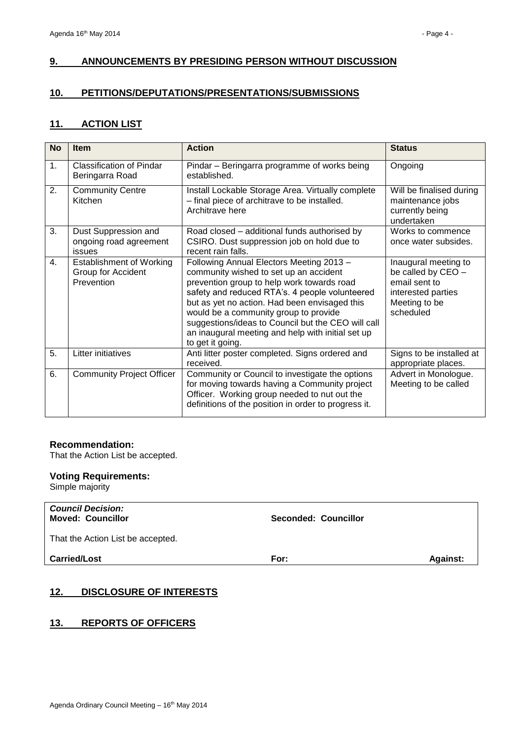## <span id="page-3-0"></span>**9. ANNOUNCEMENTS BY PRESIDING PERSON WITHOUT DISCUSSION**

## <span id="page-3-1"></span>**10. PETITIONS/DEPUTATIONS/PRESENTATIONS/SUBMISSIONS**

## <span id="page-3-2"></span>**11. ACTION LIST**

| <b>No</b>      | <b>Item</b>                                                         | <b>Action</b>                                                                                                                                                                                                                                                                                                                                                                                               | <b>Status</b>                                                                                                   |
|----------------|---------------------------------------------------------------------|-------------------------------------------------------------------------------------------------------------------------------------------------------------------------------------------------------------------------------------------------------------------------------------------------------------------------------------------------------------------------------------------------------------|-----------------------------------------------------------------------------------------------------------------|
| 1 <sub>1</sub> | Classification of Pindar<br>Beringarra Road                         | Pindar – Beringarra programme of works being<br>established.                                                                                                                                                                                                                                                                                                                                                | Ongoing                                                                                                         |
| 2.             | <b>Community Centre</b><br>Kitchen                                  | Install Lockable Storage Area. Virtually complete<br>- final piece of architrave to be installed.<br>Architrave here                                                                                                                                                                                                                                                                                        | Will be finalised during<br>maintenance jobs<br>currently being<br>undertaken                                   |
| 3.             | Dust Suppression and<br>ongoing road agreement<br>issues            | Road closed – additional funds authorised by<br>CSIRO. Dust suppression job on hold due to<br>recent rain falls.                                                                                                                                                                                                                                                                                            | Works to commence<br>once water subsides.                                                                       |
| 4.             | <b>Establishment of Working</b><br>Group for Accident<br>Prevention | Following Annual Electors Meeting 2013 -<br>community wished to set up an accident<br>prevention group to help work towards road<br>safety and reduced RTA's. 4 people volunteered<br>but as yet no action. Had been envisaged this<br>would be a community group to provide<br>suggestions/ideas to Council but the CEO will call<br>an inaugural meeting and help with initial set up<br>to get it going. | Inaugural meeting to<br>be called by CEO -<br>email sent to<br>interested parties<br>Meeting to be<br>scheduled |
| 5.             | Litter initiatives                                                  | Anti litter poster completed. Signs ordered and<br>received.                                                                                                                                                                                                                                                                                                                                                | Signs to be installed at<br>appropriate places.                                                                 |
| 6.             | <b>Community Project Officer</b>                                    | Community or Council to investigate the options<br>for moving towards having a Community project<br>Officer. Working group needed to nut out the<br>definitions of the position in order to progress it.                                                                                                                                                                                                    | Advert in Monologue.<br>Meeting to be called                                                                    |

### **Recommendation:**

That the Action List be accepted.

## **Voting Requirements:**

Simple majority

| <b>Council Decision:</b><br><b>Moved: Councillor</b> | Seconded: Councillor |                 |
|------------------------------------------------------|----------------------|-----------------|
| That the Action List be accepted.                    |                      |                 |
| <b>Carried/Lost</b>                                  | For:                 | <b>Against:</b> |

## <span id="page-3-3"></span>**12. DISCLOSURE OF INTERESTS**

#### <span id="page-3-4"></span>**13. REPORTS OF OFFICERS**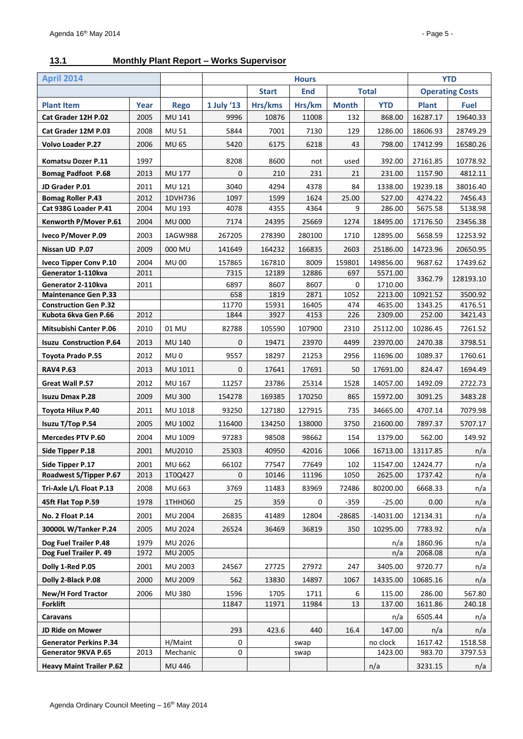## <span id="page-4-0"></span>**13.1 Monthly Plant Report – Works Supervisor**

| <b>April 2014</b>                                 |      | <b>Hours</b>    |                                            |              |              |                     |                        | <b>YTD</b>   |             |
|---------------------------------------------------|------|-----------------|--------------------------------------------|--------------|--------------|---------------------|------------------------|--------------|-------------|
|                                                   |      |                 | <b>Start</b><br><b>End</b><br><b>Total</b> |              |              |                     | <b>Operating Costs</b> |              |             |
| <b>Plant Item</b>                                 | Year | <b>Rego</b>     | 1 July '13                                 | Hrs/kms      | Hrs/km       | <b>Month</b>        | <b>YTD</b>             | <b>Plant</b> | <b>Fuel</b> |
| Cat Grader 12H P.02                               | 2005 | MU 141          | 9996                                       | 10876        | 11008        | 132                 | 868.00                 | 16287.17     | 19640.33    |
| Cat Grader 12M P.03                               | 2008 | <b>MU 51</b>    | 5844                                       | 7001         | 7130         | 129                 | 1286.00                | 18606.93     | 28749.29    |
| <b>Volvo Loader P.27</b>                          | 2006 | <b>MU 65</b>    | 5420                                       | 6175         | 6218         | 43                  | 798.00                 | 17412.99     | 16580.26    |
| Komatsu Dozer P.11                                | 1997 |                 | 8208                                       | 8600         | not          | used                | 392.00                 | 27161.85     | 10778.92    |
| <b>Bomag Padfoot P.68</b>                         | 2013 | <b>MU 177</b>   | $\mathbf{0}$                               | 210          | 231          | 21                  | 231.00                 | 1157.90      | 4812.11     |
| JD Grader P.01                                    | 2011 | MU 121          | 3040                                       | 4294         | 4378         | 84                  | 1338.00                | 19239.18     | 38016.40    |
| <b>Bomag Roller P.43</b>                          | 2012 | 1DVH736         | 1097                                       | 1599         | 1624         | 25.00               | 527.00                 | 4274.22      | 7456.43     |
| Cat 938G Loader P.41                              | 2004 | MU 193          | 4078                                       | 4355         | 4364         | 9                   | 286.00                 | 5675.58      | 5138.98     |
| Kenworth P/Mover P.61                             | 2004 | <b>MU 000</b>   | 7174                                       | 24395        | 25669        | 1274                | 18495.00               | 17176.50     | 23456.38    |
| Iveco P/Mover P.09                                | 2003 | 1AGW988         | 267205                                     | 278390       | 280100       | 1710                | 12895.00               | 5658.59      | 12253.92    |
| Nissan UD P.07                                    | 2009 | 000 MU          | 141649                                     | 164232       | 166835       | 2603                | 25186.00               | 14723.96     | 20650.95    |
| <b>Iveco Tipper Conv P.10</b>                     | 2004 | <b>MU00</b>     | 157865                                     | 167810       | 8009         | 159801              | 149856.00              | 9687.62      | 17439.62    |
| Generator 1-110kva                                | 2011 |                 | 7315                                       | 12189        | 12886        | 697                 | 5571.00                | 3362.79      | 128193.10   |
| Generator 2-110kva<br><b>Maintenance Gen P.33</b> | 2011 |                 | 6897<br>658                                | 8607<br>1819 | 8607<br>2871 | $\mathbf 0$<br>1052 | 1710.00<br>2213.00     | 10921.52     | 3500.92     |
| <b>Construction Gen P.32</b>                      |      |                 | 11770                                      | 15931        | 16405        | 474                 | 4635.00                | 1343.25      | 4176.51     |
| Kubota 6kva Gen P.66                              | 2012 |                 | 1844                                       | 3927         | 4153         | 226                 | 2309.00                | 252.00       | 3421.43     |
| <b>Mitsubishi Canter P.06</b>                     | 2010 | 01 MU           | 82788                                      | 105590       | 107900       | 2310                | 25112.00               | 10286.45     | 7261.52     |
| <b>Isuzu Construction P.64</b>                    | 2013 | <b>MU 140</b>   | $\mathbf{0}$                               | 19471        | 23970        | 4499                | 23970.00               | 2470.38      | 3798.51     |
| Toyota Prado P.55                                 | 2012 | MU <sub>0</sub> | 9557                                       | 18297        | 21253        | 2956                | 11696.00               | 1089.37      | 1760.61     |
| <b>RAV4 P.63</b>                                  | 2013 | MU 1011         | 0                                          | 17641        | 17691        | 50                  | 17691.00               | 824.47       | 1694.49     |
| Great Wall P.57                                   | 2012 | MU 167          | 11257                                      | 23786        | 25314        | 1528                | 14057.00               | 1492.09      | 2722.73     |
| <b>Isuzu Dmax P.28</b>                            | 2009 | <b>MU300</b>    | 154278                                     | 169385       | 170250       | 865                 | 15972.00               | 3091.25      | 3483.28     |
| Toyota Hilux P.40                                 | 2011 | MU 1018         | 93250                                      | 127180       | 127915       | 735                 | 34665.00               | 4707.14      | 7079.98     |
| Isuzu T/Top P.54                                  | 2005 | MU 1002         | 116400                                     | 134250       | 138000       | 3750                | 21600.00               | 7897.37      | 5707.17     |
| <b>Mercedes PTV P.60</b>                          | 2004 | MU 1009         | 97283                                      | 98508        | 98662        | 154                 | 1379.00                | 562.00       | 149.92      |
| Side Tipper P.18                                  | 2001 | MU2010          | 25303                                      | 40950        | 42016        | 1066                | 16713.00               | 13117.85     | n/a         |
| Side Tipper P.17                                  | 2001 | MU 662          | 66102                                      | 77547        | 77649        | 102                 | 11547.00               | 12424.77     | n/a         |
| Roadwest S/Tipper P.67                            | 2013 | 1T0Q427         | $\Omega$                                   | 10146        | 11196        | 1050                | 2625.00                | 1737.42      | n/a         |
| Tri-Axle L/L Float P.13                           | 2008 | MU 663          | 3769                                       | 11483        | 83969        | 72486               | 80200.00               | 6668.33      | n/a         |
| 45ft Flat Top P.59                                | 1978 | 1THH060         | 25                                         | 359          | 0            | $-359$              | $-25.00$               | 0.00         | n/a         |
| No. 2 Float P.14                                  | 2001 | MU 2004         | 26835                                      | 41489        | 12804        | $-28685$            | $-14031.00$            | 12134.31     | n/a         |
| 30000L W/Tanker P.24                              | 2005 | MU 2024         | 26524                                      | 36469        | 36819        | 350                 | 10295.00               | 7783.92      | n/a         |
| Dog Fuel Trailer P.48                             | 1979 | MU 2026         |                                            |              |              |                     | n/a                    | 1860.96      | n/a         |
| Dog Fuel Trailer P. 49                            | 1972 | MU 2005         |                                            |              |              |                     | n/a                    | 2068.08      | n/a         |
| Dolly 1-Red P.05                                  | 2001 | MU 2003         | 24567                                      | 27725        | 27972        | 247                 | 3405.00                | 9720.77      | n/a         |
| Dolly 2-Black P.08                                | 2000 | MU 2009         | 562                                        | 13830        | 14897        | 1067                | 14335.00               | 10685.16     | n/a         |
| New/H Ford Tractor                                | 2006 | <b>MU380</b>    | 1596                                       | 1705         | 1711         | 6                   | 115.00                 | 286.00       | 567.80      |
| <b>Forklift</b>                                   |      |                 | 11847                                      | 11971        | 11984        | 13                  | 137.00                 | 1611.86      | 240.18      |
| Caravans                                          |      |                 |                                            |              |              |                     | n/a                    | 6505.44      | n/a         |
| JD Ride on Mower                                  |      |                 | 293                                        | 423.6        | 440          | 16.4                | 147.00                 | n/a          | n/a         |
| <b>Generator Perkins P.34</b>                     |      | H/Maint         | 0                                          |              | swap         |                     | no clock               | 1617.42      | 1518.58     |
| Generator 9KVA P.65                               | 2013 | Mechanic        | 0                                          |              | swap         |                     | 1423.00                | 983.70       | 3797.53     |
| <b>Heavy Maint Trailer P.62</b>                   |      | MU 446          |                                            |              |              |                     | n/a                    | 3231.15      | n/a         |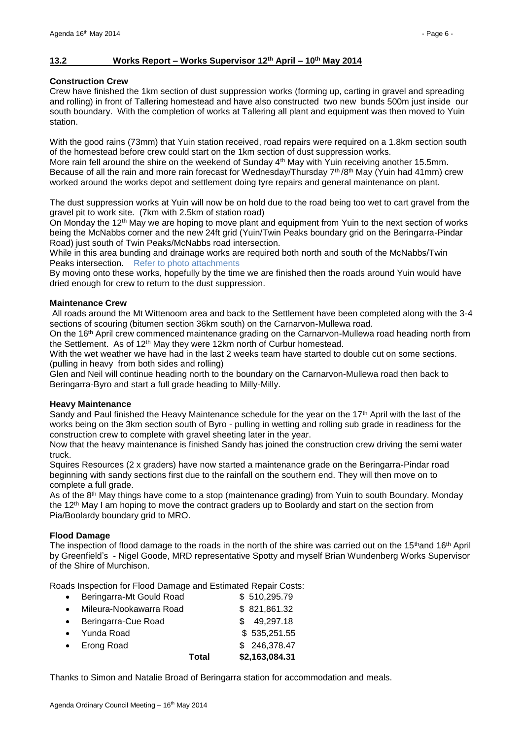#### <span id="page-5-0"></span>**13.2 Works Report – Works Supervisor 12th April – 10th May 2014**

#### **Construction Crew**

Crew have finished the 1km section of dust suppression works (forming up, carting in gravel and spreading and rolling) in front of Tallering homestead and have also constructed two new bunds 500m just inside our south boundary. With the completion of works at Tallering all plant and equipment was then moved to Yuin station.

With the good rains (73mm) that Yuin station received, road repairs were required on a 1.8km section south of the homestead before crew could start on the 1km section of dust suppression works. More rain fell around the shire on the weekend of Sunday 4<sup>th</sup> May with Yuin receiving another 15.5mm. Because of all the rain and more rain forecast for Wednesday/Thursday  $7<sup>th</sup>/8<sup>th</sup>$  May (Yuin had 41mm) crew worked around the works depot and settlement doing tyre repairs and general maintenance on plant.

The dust suppression works at Yuin will now be on hold due to the road being too wet to cart gravel from the gravel pit to work site. (7km with 2.5km of station road)

On Monday the 12<sup>th</sup> May we are hoping to move plant and equipment from Yuin to the next section of works being the McNabbs corner and the new 24ft grid (Yuin/Twin Peaks boundary grid on the Beringarra-Pindar Road) just south of Twin Peaks/McNabbs road intersection.

While in this area bunding and drainage works are required both north and south of the McNabbs/Twin Peaks intersection. Refer to photo attachments

By moving onto these works, hopefully by the time we are finished then the roads around Yuin would have dried enough for crew to return to the dust suppression.

#### **Maintenance Crew**

All roads around the Mt Wittenoom area and back to the Settlement have been completed along with the 3-4 sections of scouring (bitumen section 36km south) on the Carnarvon-Mullewa road.

On the 16<sup>th</sup> April crew commenced maintenance grading on the Carnarvon-Mullewa road heading north from the Settlement. As of 12th May they were 12km north of Curbur homestead.

With the wet weather we have had in the last 2 weeks team have started to double cut on some sections. (pulling in heavy from both sides and rolling)

Glen and Neil will continue heading north to the boundary on the Carnarvon-Mullewa road then back to Beringarra-Byro and start a full grade heading to Milly-Milly.

#### **Heavy Maintenance**

Sandy and Paul finished the Heavy Maintenance schedule for the year on the 17<sup>th</sup> April with the last of the works being on the 3km section south of Byro - pulling in wetting and rolling sub grade in readiness for the construction crew to complete with gravel sheeting later in the year.

Now that the heavy maintenance is finished Sandy has joined the construction crew driving the semi water truck.

Squires Resources (2 x graders) have now started a maintenance grade on the Beringarra-Pindar road beginning with sandy sections first due to the rainfall on the southern end. They will then move on to complete a full grade.

As of the 8th May things have come to a stop (maintenance grading) from Yuin to south Boundary. Monday the 12<sup>th</sup> May I am hoping to move the contract graders up to Boolardy and start on the section from Pia/Boolardy boundary grid to MRO.

#### **Flood Damage**

The inspection of flood damage to the roads in the north of the shire was carried out on the 15<sup>th</sup>and 16<sup>th</sup> April by Greenfield's - Nigel Goode, MRD representative Spotty and myself Brian Wundenberg Works Supervisor of the Shire of Murchison.

Roads Inspection for Flood Damage and Estimated Repair Costs:

|             |                          | Total | \$2,163,084.31 |
|-------------|--------------------------|-------|----------------|
|             | • Erong Road             |       | \$246,378.47   |
|             | • Yunda Road             |       | \$535,251.55   |
| $\bullet$ . | Beringarra-Cue Road      |       | \$49,297.18    |
|             | Mileura-Nookawarra Road  |       | \$821,861.32   |
| $\bullet$   | Beringarra-Mt Gould Road |       | \$510,295.79   |

Thanks to Simon and Natalie Broad of Beringarra station for accommodation and meals.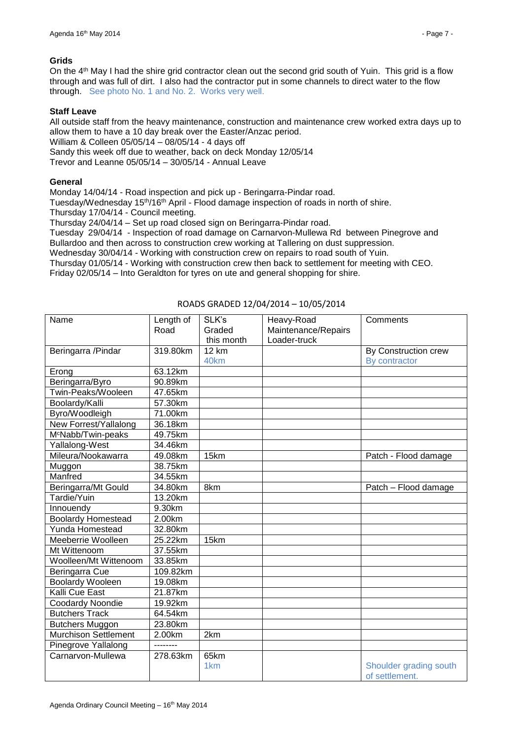#### **Grids**

On the 4<sup>th</sup> May I had the shire grid contractor clean out the second grid south of Yuin. This grid is a flow through and was full of dirt. I also had the contractor put in some channels to direct water to the flow through. See photo No. 1 and No. 2. Works very well.

#### **Staff Leave**

All outside staff from the heavy maintenance, construction and maintenance crew worked extra days up to allow them to have a 10 day break over the Easter/Anzac period. William & Colleen 05/05/14 – 08/05/14 - 4 days off Sandy this week off due to weather, back on deck Monday 12/05/14 Trevor and Leanne 05/05/14 – 30/05/14 - Annual Leave

#### **General**

Monday 14/04/14 - Road inspection and pick up - Beringarra-Pindar road.

Tuesday/Wednesday 15th/16th April - Flood damage inspection of roads in north of shire.

Thursday 17/04/14 - Council meeting.

Thursday 24/04/14 – Set up road closed sign on Beringarra-Pindar road.

Tuesday 29/04/14 - Inspection of road damage on Carnarvon-Mullewa Rd between Pinegrove and Bullardoo and then across to construction crew working at Tallering on dust suppression. Wednesday 30/04/14 - Working with construction crew on repairs to road south of Yuin.

Thursday 01/05/14 - Working with construction crew then back to settlement for meeting with CEO.

Friday 02/05/14 – Into Geraldton for tyres on ute and general shopping for shire.

| Name                           | Length of | SLK's           | Heavy-Road          | Comments               |
|--------------------------------|-----------|-----------------|---------------------|------------------------|
|                                | Road      | Graded          | Maintenance/Repairs |                        |
|                                |           | this month      | Loader-truck        |                        |
| Beringarra / Pindar            | 319.80km  | <b>12 km</b>    |                     | By Construction crew   |
|                                |           | 40km            |                     | By contractor          |
| Erong                          | 63.12km   |                 |                     |                        |
| Beringarra/Byro                | 90.89km   |                 |                     |                        |
| Twin-Peaks/Wooleen             | 47.65km   |                 |                     |                        |
| Boolardy/Kalli                 | 57.30km   |                 |                     |                        |
| Byro/Woodleigh                 | 71.00km   |                 |                     |                        |
| New Forrest/Yallalong          | 36.18km   |                 |                     |                        |
| M <sup>c</sup> Nabb/Twin-peaks | 49.75km   |                 |                     |                        |
| Yallalong-West                 | 34.46km   |                 |                     |                        |
| Mileura/Nookawarra             | 49.08km   | 15km            |                     | Patch - Flood damage   |
| Muggon                         | 38.75km   |                 |                     |                        |
| Manfred                        | 34.55km   |                 |                     |                        |
| Beringarra/Mt Gould            | 34.80km   | 8km             |                     | Patch - Flood damage   |
| Tardie/Yuin                    | 13.20km   |                 |                     |                        |
| Innouendy                      | 9.30km    |                 |                     |                        |
| <b>Boolardy Homestead</b>      | 2.00km    |                 |                     |                        |
| Yunda Homestead                | 32.80km   |                 |                     |                        |
| Meeberrie Woolleen             | 25.22km   | 15km            |                     |                        |
| Mt Wittenoom                   | 37.55km   |                 |                     |                        |
| Woolleen/Mt Wittenoom          | 33.85km   |                 |                     |                        |
| Beringarra Cue                 | 109.82km  |                 |                     |                        |
| <b>Boolardy Wooleen</b>        | 19.08km   |                 |                     |                        |
| Kalli Cue East                 | 21.87km   |                 |                     |                        |
| Coodardy Noondie               | 19.92km   |                 |                     |                        |
| <b>Butchers Track</b>          | 64.54km   |                 |                     |                        |
| <b>Butchers Muggon</b>         | 23.80km   |                 |                     |                        |
| <b>Murchison Settlement</b>    | 2.00km    | 2km             |                     |                        |
| Pinegrove Yallalong            | --------  |                 |                     |                        |
| Carnarvon-Mullewa              | 278.63km  | 65km            |                     |                        |
|                                |           | 1 <sub>km</sub> |                     | Shoulder grading south |
|                                |           |                 |                     | of settlement.         |

#### ROADS GRADED 12/04/2014 – 10/05/2014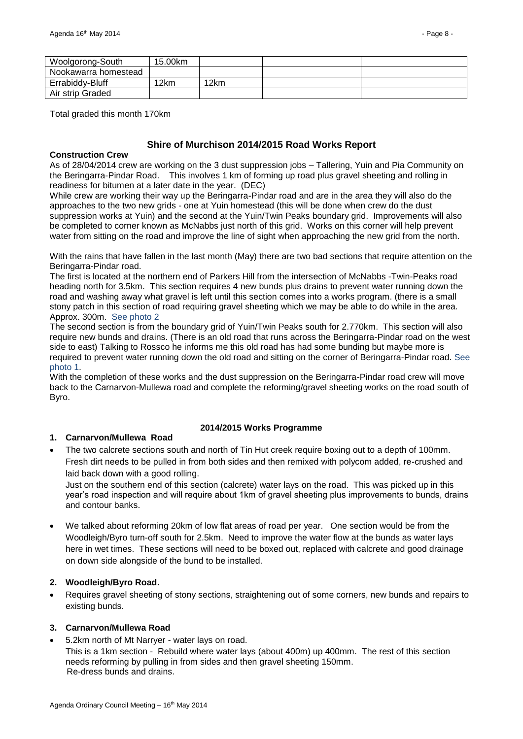| Woolgorong-South     | 15.00km |      |  |
|----------------------|---------|------|--|
| Nookawarra homestead |         |      |  |
| Errabiddy-Bluff      | 12km    | 12km |  |
| Air strip Graded     |         |      |  |

Total graded this month 170km

## **Shire of Murchison 2014/2015 Road Works Report**

#### **Construction Crew**

As of 28/04/2014 crew are working on the 3 dust suppression jobs – Tallering, Yuin and Pia Community on the Beringarra-Pindar Road. This involves 1 km of forming up road plus gravel sheeting and rolling in readiness for bitumen at a later date in the year. (DEC)

While crew are working their way up the Beringarra-Pindar road and are in the area they will also do the approaches to the two new grids - one at Yuin homestead (this will be done when crew do the dust suppression works at Yuin) and the second at the Yuin/Twin Peaks boundary grid. Improvements will also be completed to corner known as McNabbs just north of this grid. Works on this corner will help prevent water from sitting on the road and improve the line of sight when approaching the new grid from the north.

With the rains that have fallen in the last month (May) there are two bad sections that require attention on the Beringarra-Pindar road.

The first is located at the northern end of Parkers Hill from the intersection of McNabbs -Twin-Peaks road heading north for 3.5km. This section requires 4 new bunds plus drains to prevent water running down the road and washing away what gravel is left until this section comes into a works program. (there is a small stony patch in this section of road requiring gravel sheeting which we may be able to do while in the area. Approx. 300m. See photo 2

The second section is from the boundary grid of Yuin/Twin Peaks south for 2.770km. This section will also require new bunds and drains. (There is an old road that runs across the Beringarra-Pindar road on the west side to east) Talking to Rossco he informs me this old road has had some bunding but maybe more is required to prevent water running down the old road and sitting on the corner of Beringarra-Pindar road. See photo 1.

With the completion of these works and the dust suppression on the Beringarra-Pindar road crew will move back to the Carnarvon-Mullewa road and complete the reforming/gravel sheeting works on the road south of Byro.

#### **2014/2015 Works Programme**

#### **1. Carnarvon/Mullewa Road**

 The two calcrete sections south and north of Tin Hut creek require boxing out to a depth of 100mm. Fresh dirt needs to be pulled in from both sides and then remixed with polycom added, re-crushed and laid back down with a good rolling.

Just on the southern end of this section (calcrete) water lays on the road. This was picked up in this year's road inspection and will require about 1km of gravel sheeting plus improvements to bunds, drains and contour banks.

 We talked about reforming 20km of low flat areas of road per year. One section would be from the Woodleigh/Byro turn-off south for 2.5km. Need to improve the water flow at the bunds as water lays here in wet times. These sections will need to be boxed out, replaced with calcrete and good drainage on down side alongside of the bund to be installed.

#### **2. Woodleigh/Byro Road.**

 Requires gravel sheeting of stony sections, straightening out of some corners, new bunds and repairs to existing bunds.

#### **3. Carnarvon/Mullewa Road**

5.2km north of Mt Narryer - water lays on road.

This is a 1km section - Rebuild where water lays (about 400m) up 400mm. The rest of this section needs reforming by pulling in from sides and then gravel sheeting 150mm. Re-dress bunds and drains.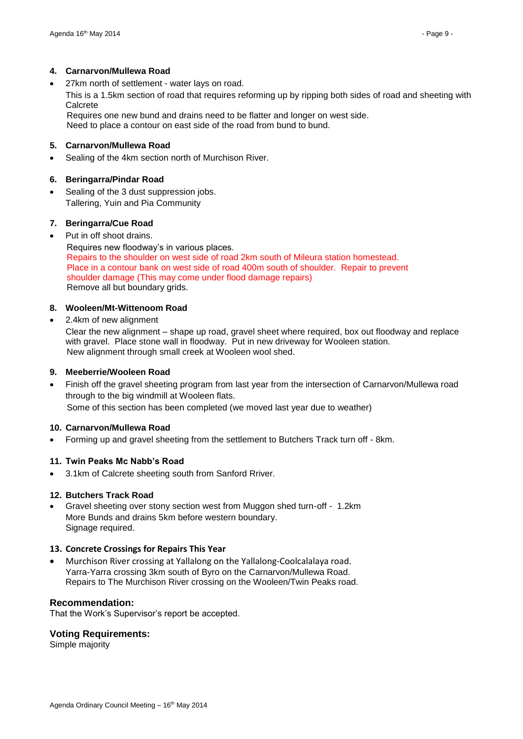#### **4. Carnarvon/Mullewa Road**

27km north of settlement - water lays on road.

This is a 1.5km section of road that requires reforming up by ripping both sides of road and sheeting with Calcrete

 Requires one new bund and drains need to be flatter and longer on west side. Need to place a contour on east side of the road from bund to bund.

#### **5. Carnarvon/Mullewa Road**

Sealing of the 4km section north of Murchison River.

## **6. Beringarra/Pindar Road**

 Sealing of the 3 dust suppression jobs. Tallering, Yuin and Pia Community

## **7. Beringarra/Cue Road**

Put in off shoot drains.

 Requires new floodway's in various places. Repairs to the shoulder on west side of road 2km south of Mileura station homestead. Place in a contour bank on west side of road 400m south of shoulder. Repair to prevent shoulder damage (This may come under flood damage repairs) Remove all but boundary grids.

## **8. Wooleen/Mt-Wittenoom Road**

2.4km of new alignment

Clear the new alignment – shape up road, gravel sheet where required, box out floodway and replace with gravel. Place stone wall in floodway. Put in new driveway for Wooleen station. New alignment through small creek at Wooleen wool shed.

#### **9. Meeberrie/Wooleen Road**

 Finish off the gravel sheeting program from last year from the intersection of Carnarvon/Mullewa road through to the big windmill at Wooleen flats. Some of this section has been completed (we moved last year due to weather)

#### **10. Carnarvon/Mullewa Road**

Forming up and gravel sheeting from the settlement to Butchers Track turn off - 8km.

#### **11. Twin Peaks Mc Nabb's Road**

3.1km of Calcrete sheeting south from Sanford Rriver.

#### **12. Butchers Track Road**

 Gravel sheeting over stony section west from Muggon shed turn-off - 1.2km More Bunds and drains 5km before western boundary. Signage required.

#### **13. Concrete Crossings for Repairs This Year**

 Murchison River crossing at Yallalong on the Yallalong-Coolcalalaya road. Yarra-Yarra crossing 3km south of Byro on the Carnarvon/Mullewa Road. Repairs to The Murchison River crossing on the Wooleen/Twin Peaks road.

#### **Recommendation:**

That the Work's Supervisor's report be accepted.

#### **Voting Requirements:**

Simple majority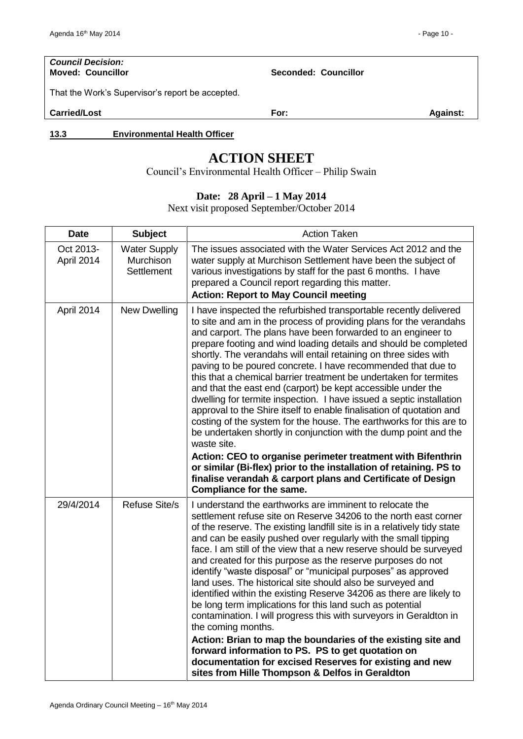# *Council Decision:*

**Moved: Councillor Seconded: Councillor**

That the Work's Supervisor's report be accepted.

**Carried/Lost For: Against:**

<span id="page-9-0"></span>**13.3 Environmental Health Officer** 

## **ACTION SHEET**

Council's Environmental Health Officer – Philip Swain

## **Date: 28 April – 1 May 2014**

Next visit proposed September/October 2014

| <b>Date</b>             | <b>Subject</b>                                        | <b>Action Taken</b>                                                                                                                                                                                                                                                                                                                                                                                                                                                                                                                                                                                                                                                                                                                                                                                                                                                                                                                                                                                                                                                                            |
|-------------------------|-------------------------------------------------------|------------------------------------------------------------------------------------------------------------------------------------------------------------------------------------------------------------------------------------------------------------------------------------------------------------------------------------------------------------------------------------------------------------------------------------------------------------------------------------------------------------------------------------------------------------------------------------------------------------------------------------------------------------------------------------------------------------------------------------------------------------------------------------------------------------------------------------------------------------------------------------------------------------------------------------------------------------------------------------------------------------------------------------------------------------------------------------------------|
| Oct 2013-<br>April 2014 | <b>Water Supply</b><br>Murchison<br><b>Settlement</b> | The issues associated with the Water Services Act 2012 and the<br>water supply at Murchison Settlement have been the subject of<br>various investigations by staff for the past 6 months. I have<br>prepared a Council report regarding this matter.<br><b>Action: Report to May Council meeting</b>                                                                                                                                                                                                                                                                                                                                                                                                                                                                                                                                                                                                                                                                                                                                                                                           |
| April 2014              | <b>New Dwelling</b>                                   | I have inspected the refurbished transportable recently delivered<br>to site and am in the process of providing plans for the verandahs<br>and carport. The plans have been forwarded to an engineer to<br>prepare footing and wind loading details and should be completed<br>shortly. The verandahs will entail retaining on three sides with<br>paving to be poured concrete. I have recommended that due to<br>this that a chemical barrier treatment be undertaken for termites<br>and that the east end (carport) be kept accessible under the<br>dwelling for termite inspection. I have issued a septic installation<br>approval to the Shire itself to enable finalisation of quotation and<br>costing of the system for the house. The earthworks for this are to<br>be undertaken shortly in conjunction with the dump point and the<br>waste site.<br>Action: CEO to organise perimeter treatment with Bifenthrin<br>or similar (Bi-flex) prior to the installation of retaining. PS to<br>finalise verandah & carport plans and Certificate of Design<br>Compliance for the same. |
| 29/4/2014               | <b>Refuse Site/s</b>                                  | I understand the earthworks are imminent to relocate the<br>settlement refuse site on Reserve 34206 to the north east corner<br>of the reserve. The existing landfill site is in a relatively tidy state<br>and can be easily pushed over regularly with the small tipping<br>face. I am still of the view that a new reserve should be surveyed<br>and created for this purpose as the reserve purposes do not<br>identify "waste disposal" or "municipal purposes" as approved<br>land uses. The historical site should also be surveyed and<br>identified within the existing Reserve 34206 as there are likely to<br>be long term implications for this land such as potential<br>contamination. I will progress this with surveyors in Geraldton in<br>the coming months.<br>Action: Brian to map the boundaries of the existing site and<br>forward information to PS. PS to get quotation on<br>documentation for excised Reserves for existing and new<br>sites from Hille Thompson & Delfos in Geraldton                                                                              |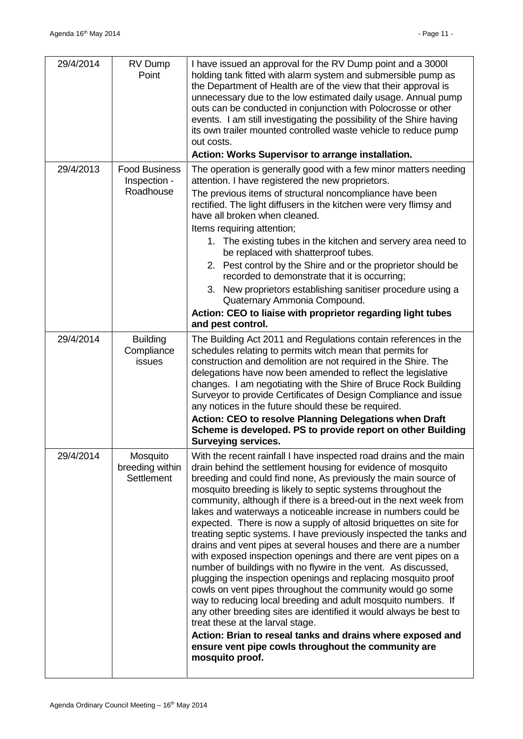| 29/4/2014 | RV Dump<br>Point                                  | I have issued an approval for the RV Dump point and a 3000I<br>holding tank fitted with alarm system and submersible pump as<br>the Department of Health are of the view that their approval is<br>unnecessary due to the low estimated daily usage. Annual pump<br>outs can be conducted in conjunction with Polocrosse or other<br>events. I am still investigating the possibility of the Shire having<br>its own trailer mounted controlled waste vehicle to reduce pump<br>out costs.<br>Action: Works Supervisor to arrange installation.                                                                                                                                                                                                                                                                                                                                                                                                                                                                                                                                                                                                                                                               |
|-----------|---------------------------------------------------|---------------------------------------------------------------------------------------------------------------------------------------------------------------------------------------------------------------------------------------------------------------------------------------------------------------------------------------------------------------------------------------------------------------------------------------------------------------------------------------------------------------------------------------------------------------------------------------------------------------------------------------------------------------------------------------------------------------------------------------------------------------------------------------------------------------------------------------------------------------------------------------------------------------------------------------------------------------------------------------------------------------------------------------------------------------------------------------------------------------------------------------------------------------------------------------------------------------|
| 29/4/2013 | <b>Food Business</b><br>Inspection -<br>Roadhouse | The operation is generally good with a few minor matters needing<br>attention. I have registered the new proprietors.<br>The previous items of structural noncompliance have been<br>rectified. The light diffusers in the kitchen were very flimsy and<br>have all broken when cleaned.<br>Items requiring attention;<br>1. The existing tubes in the kitchen and servery area need to<br>be replaced with shatterproof tubes.<br>2. Pest control by the Shire and or the proprietor should be<br>recorded to demonstrate that it is occurring;<br>3. New proprietors establishing sanitiser procedure using a<br>Quaternary Ammonia Compound.<br>Action: CEO to liaise with proprietor regarding light tubes<br>and pest control.                                                                                                                                                                                                                                                                                                                                                                                                                                                                           |
| 29/4/2014 | <b>Building</b><br>Compliance<br>issues           | The Building Act 2011 and Regulations contain references in the<br>schedules relating to permits witch mean that permits for<br>construction and demolition are not required in the Shire. The<br>delegations have now been amended to reflect the legislative<br>changes. I am negotiating with the Shire of Bruce Rock Building<br>Surveyor to provide Certificates of Design Compliance and issue<br>any notices in the future should these be required.<br>Action: CEO to resolve Planning Delegations when Draft<br>Scheme is developed. PS to provide report on other Building<br><b>Surveying services.</b>                                                                                                                                                                                                                                                                                                                                                                                                                                                                                                                                                                                            |
| 29/4/2014 | Mosquito<br>breeding within<br><b>Settlement</b>  | With the recent rainfall I have inspected road drains and the main<br>drain behind the settlement housing for evidence of mosquito<br>breeding and could find none, As previously the main source of<br>mosquito breeding is likely to septic systems throughout the<br>community, although if there is a breed-out in the next week from<br>lakes and waterways a noticeable increase in numbers could be<br>expected. There is now a supply of altosid briquettes on site for<br>treating septic systems. I have previously inspected the tanks and<br>drains and vent pipes at several houses and there are a number<br>with exposed inspection openings and there are vent pipes on a<br>number of buildings with no flywire in the vent. As discussed,<br>plugging the inspection openings and replacing mosquito proof<br>cowls on vent pipes throughout the community would go some<br>way to reducing local breeding and adult mosquito numbers. If<br>any other breeding sites are identified it would always be best to<br>treat these at the larval stage.<br>Action: Brian to reseal tanks and drains where exposed and<br>ensure vent pipe cowls throughout the community are<br>mosquito proof. |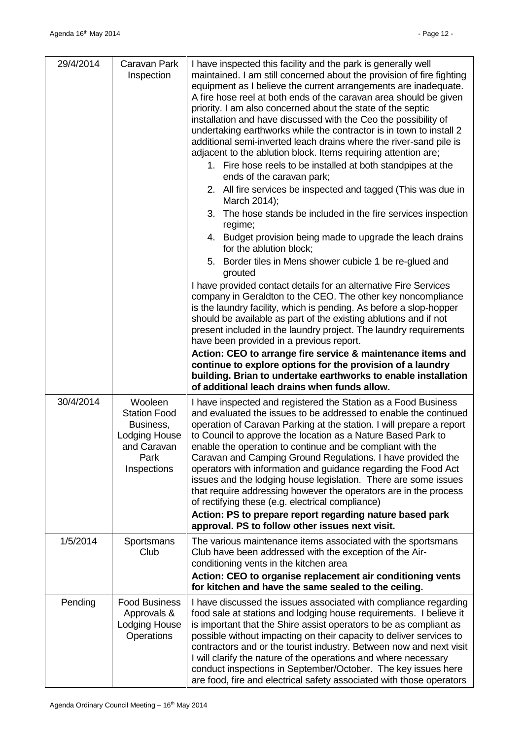| 29/4/2014 | Caravan Park<br>Inspection                                                                                | I have inspected this facility and the park is generally well<br>maintained. I am still concerned about the provision of fire fighting<br>equipment as I believe the current arrangements are inadequate.<br>A fire hose reel at both ends of the caravan area should be given<br>priority. I am also concerned about the state of the septic<br>installation and have discussed with the Ceo the possibility of<br>undertaking earthworks while the contractor is in town to install 2<br>additional semi-inverted leach drains where the river-sand pile is<br>adjacent to the ablution block. Items requiring attention are;<br>1. Fire hose reels to be installed at both standpipes at the<br>ends of the caravan park;<br>2. All fire services be inspected and tagged (This was due in<br>March 2014);<br>3. The hose stands be included in the fire services inspection<br>regime;<br>4. Budget provision being made to upgrade the leach drains<br>for the ablution block;<br>5. Border tiles in Mens shower cubicle 1 be re-glued and<br>grouted<br>I have provided contact details for an alternative Fire Services<br>company in Geraldton to the CEO. The other key noncompliance<br>is the laundry facility, which is pending. As before a slop-hopper<br>should be available as part of the existing ablutions and if not<br>present included in the laundry project. The laundry requirements<br>have been provided in a previous report.<br>Action: CEO to arrange fire service & maintenance items and<br>continue to explore options for the provision of a laundry<br>building. Brian to undertake earthworks to enable installation<br>of additional leach drains when funds allow. |
|-----------|-----------------------------------------------------------------------------------------------------------|----------------------------------------------------------------------------------------------------------------------------------------------------------------------------------------------------------------------------------------------------------------------------------------------------------------------------------------------------------------------------------------------------------------------------------------------------------------------------------------------------------------------------------------------------------------------------------------------------------------------------------------------------------------------------------------------------------------------------------------------------------------------------------------------------------------------------------------------------------------------------------------------------------------------------------------------------------------------------------------------------------------------------------------------------------------------------------------------------------------------------------------------------------------------------------------------------------------------------------------------------------------------------------------------------------------------------------------------------------------------------------------------------------------------------------------------------------------------------------------------------------------------------------------------------------------------------------------------------------------------------------------------------------------------------------------------------------|
| 30/4/2014 | Wooleen<br><b>Station Food</b><br>Business,<br><b>Lodging House</b><br>and Caravan<br>Park<br>Inspections | I have inspected and registered the Station as a Food Business<br>and evaluated the issues to be addressed to enable the continued<br>operation of Caravan Parking at the station. I will prepare a report<br>to Council to approve the location as a Nature Based Park to<br>enable the operation to continue and be compliant with the<br>Caravan and Camping Ground Regulations. I have provided the<br>operators with information and guidance regarding the Food Act<br>issues and the lodging house legislation. There are some issues<br>that require addressing however the operators are in the process<br>of rectifying these (e.g. electrical compliance)<br>Action: PS to prepare report regarding nature based park<br>approval. PS to follow other issues next visit.                                                                                                                                                                                                                                                                                                                                                                                                                                                                                                                                                                                                                                                                                                                                                                                                                                                                                                                      |
| 1/5/2014  | Sportsmans<br>Club                                                                                        | The various maintenance items associated with the sportsmans<br>Club have been addressed with the exception of the Air-<br>conditioning vents in the kitchen area<br>Action: CEO to organise replacement air conditioning vents<br>for kitchen and have the same sealed to the ceiling.                                                                                                                                                                                                                                                                                                                                                                                                                                                                                                                                                                                                                                                                                                                                                                                                                                                                                                                                                                                                                                                                                                                                                                                                                                                                                                                                                                                                                  |
| Pending   | <b>Food Business</b><br>Approvals &<br><b>Lodging House</b><br>Operations                                 | I have discussed the issues associated with compliance regarding<br>food sale at stations and lodging house requirements. I believe it<br>is important that the Shire assist operators to be as compliant as<br>possible without impacting on their capacity to deliver services to<br>contractors and or the tourist industry. Between now and next visit<br>I will clarify the nature of the operations and where necessary<br>conduct inspections in September/October. The key issues here<br>are food, fire and electrical safety associated with those operators                                                                                                                                                                                                                                                                                                                                                                                                                                                                                                                                                                                                                                                                                                                                                                                                                                                                                                                                                                                                                                                                                                                                   |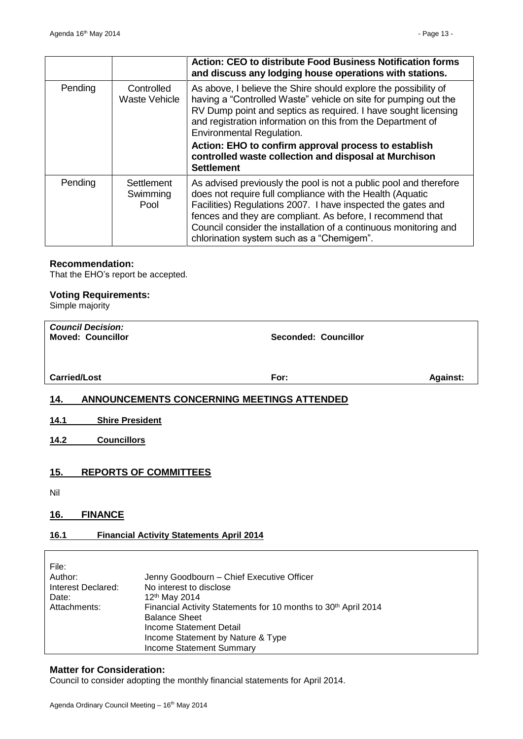|         |                                    | Action: CEO to distribute Food Business Notification forms<br>and discuss any lodging house operations with stations.                                                                                                                                                                                                                                                                                                                  |
|---------|------------------------------------|----------------------------------------------------------------------------------------------------------------------------------------------------------------------------------------------------------------------------------------------------------------------------------------------------------------------------------------------------------------------------------------------------------------------------------------|
| Pending | Controlled<br><b>Waste Vehicle</b> | As above, I believe the Shire should explore the possibility of<br>having a "Controlled Waste" vehicle on site for pumping out the<br>RV Dump point and septics as required. I have sought licensing<br>and registration information on this from the Department of<br>Environmental Regulation.<br>Action: EHO to confirm approval process to establish<br>controlled waste collection and disposal at Murchison<br><b>Settlement</b> |
| Pending | Settlement<br>Swimming<br>Pool     | As advised previously the pool is not a public pool and therefore<br>does not require full compliance with the Health (Aquatic<br>Facilities) Regulations 2007. I have inspected the gates and<br>fences and they are compliant. As before, I recommend that<br>Council consider the installation of a continuous monitoring and<br>chlorination system such as a "Chemigem".                                                          |

#### **Recommendation:**

That the EHO's report be accepted.

## **Voting Requirements:**

Simple majority

<span id="page-12-3"></span><span id="page-12-2"></span><span id="page-12-1"></span><span id="page-12-0"></span>

| <b>Council Decision:</b><br><b>Moved: Councillor</b>            | Seconded: Councillor                                                                                                                                                                                                                                               |                 |
|-----------------------------------------------------------------|--------------------------------------------------------------------------------------------------------------------------------------------------------------------------------------------------------------------------------------------------------------------|-----------------|
|                                                                 |                                                                                                                                                                                                                                                                    |                 |
| <b>Carried/Lost</b>                                             | For:                                                                                                                                                                                                                                                               | <b>Against:</b> |
| <u>14.</u>                                                      | <b>ANNOUNCEMENTS CONCERNING MEETINGS ATTENDED</b>                                                                                                                                                                                                                  |                 |
| <b>Shire President</b><br>14.1                                  |                                                                                                                                                                                                                                                                    |                 |
| <b>Councillors</b><br>14.2                                      |                                                                                                                                                                                                                                                                    |                 |
| 15.                                                             | <b>REPORTS OF COMMITTEES</b>                                                                                                                                                                                                                                       |                 |
| Nil                                                             |                                                                                                                                                                                                                                                                    |                 |
| <b>FINANCE</b><br>16.                                           |                                                                                                                                                                                                                                                                    |                 |
| 16.1                                                            | <b>Financial Activity Statements April 2014</b>                                                                                                                                                                                                                    |                 |
| File:<br>Author:<br>Interest Declared:<br>Date:<br>Attachments: | Jenny Goodbourn - Chief Executive Officer<br>No interest to disclose<br>12 <sup>th</sup> May 2014<br>Financial Activity Statements for 10 months to 30th April 2014<br><b>Balance Sheet</b><br><b>Income Statement Detail</b><br>Income Statement by Nature & Type |                 |

#### <span id="page-12-5"></span><span id="page-12-4"></span>**Matter for Consideration:**

Council to consider adopting the monthly financial statements for April 2014.

Income Statement Summary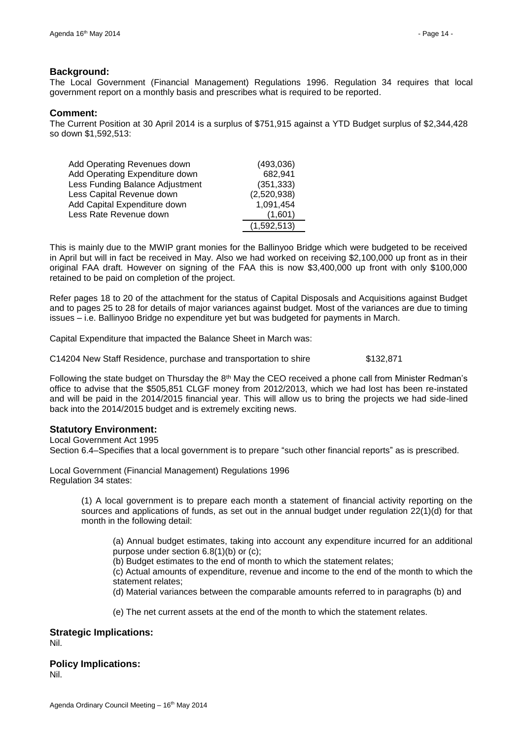## **Background:**

The Local Government (Financial Management) Regulations 1996. Regulation 34 requires that local government report on a monthly basis and prescribes what is required to be reported.

#### **Comment:**

The Current Position at 30 April 2014 is a surplus of \$751,915 against a YTD Budget surplus of \$2,344,428 so down \$1,592,513:

| Add Operating Revenues down     | (493,036)   |
|---------------------------------|-------------|
| Add Operating Expenditure down  | 682,941     |
| Less Funding Balance Adjustment | (351, 333)  |
| Less Capital Revenue down       | (2,520,938) |
| Add Capital Expenditure down    | 1,091,454   |
| Less Rate Revenue down          | (1,601)     |
|                                 | (1,592,513) |

This is mainly due to the MWIP grant monies for the Ballinyoo Bridge which were budgeted to be received in April but will in fact be received in May. Also we had worked on receiving \$2,100,000 up front as in their original FAA draft. However on signing of the FAA this is now \$3,400,000 up front with only \$100,000 retained to be paid on completion of the project.

Refer pages 18 to 20 of the attachment for the status of Capital Disposals and Acquisitions against Budget and to pages 25 to 28 for details of major variances against budget. Most of the variances are due to timing issues – i.e. Ballinyoo Bridge no expenditure yet but was budgeted for payments in March.

Capital Expenditure that impacted the Balance Sheet in March was:

C14204 New Staff Residence, purchase and transportation to shire \$132,871

Following the state budget on Thursday the  $8<sup>th</sup>$  May the CEO received a phone call from Minister Redman's office to advise that the \$505,851 CLGF money from 2012/2013, which we had lost has been re-instated and will be paid in the 2014/2015 financial year. This will allow us to bring the projects we had side-lined back into the 2014/2015 budget and is extremely exciting news.

## **Statutory Environment:**

Local Government Act 1995

Section 6.4–Specifies that a local government is to prepare "such other financial reports" as is prescribed.

Local Government (Financial Management) Regulations 1996 Regulation 34 states:

> (1) A local government is to prepare each month a statement of financial activity reporting on the sources and applications of funds, as set out in the annual budget under regulation 22(1)(d) for that month in the following detail:

(a) Annual budget estimates, taking into account any expenditure incurred for an additional purpose under section 6.8(1)(b) or (c);

(b) Budget estimates to the end of month to which the statement relates;

(c) Actual amounts of expenditure, revenue and income to the end of the month to which the statement relates;

(d) Material variances between the comparable amounts referred to in paragraphs (b) and

(e) The net current assets at the end of the month to which the statement relates.

## **Strategic Implications:**

Nil.

## **Policy Implications:**

Nil.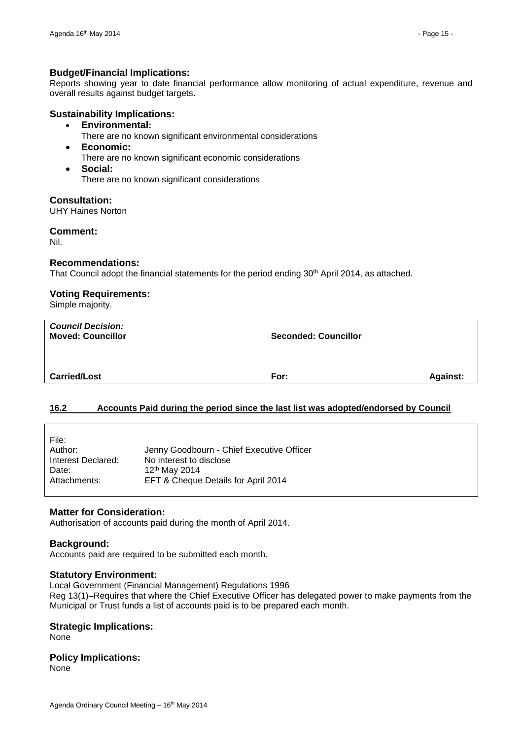#### **Budget/Financial Implications:**

Reports showing year to date financial performance allow monitoring of actual expenditure, revenue and overall results against budget targets.

#### **Sustainability Implications:**

- **Environmental:**
- There are no known significant environmental considerations
- **Economic:**
	- There are no known significant economic considerations
- **Social:** There are no known significant considerations

**Consultation:**

UHY Haines Norton

**Comment:**

Nil.

#### **Recommendations:**

That Council adopt the financial statements for the period ending 30<sup>th</sup> April 2014, as attached.

## **Voting Requirements:**

Simple majority.

| <b>Council Decision:</b><br><b>Moved: Councillor</b> | <b>Seconded: Councillor</b> |                 |
|------------------------------------------------------|-----------------------------|-----------------|
| <b>Carried/Lost</b>                                  | For:                        | <b>Against:</b> |

#### <span id="page-14-0"></span>**16.2 Accounts Paid during the period since the last list was adopted/endorsed by Council**

| File:              |                                           |
|--------------------|-------------------------------------------|
| Author:            | Jenny Goodbourn - Chief Executive Officer |
| Interest Declared: | No interest to disclose                   |
| Date:              | 12 <sup>th</sup> May 2014                 |
| Attachments:       | EFT & Cheque Details for April 2014       |

#### **Matter for Consideration:**

Authorisation of accounts paid during the month of April 2014.

#### **Background:**

Accounts paid are required to be submitted each month.

#### **Statutory Environment:**

Local Government (Financial Management) Regulations 1996 Reg 13(1)–Requires that where the Chief Executive Officer has delegated power to make payments from the Municipal or Trust funds a list of accounts paid is to be prepared each month.

#### **Strategic Implications:**

None

## **Policy Implications:**

None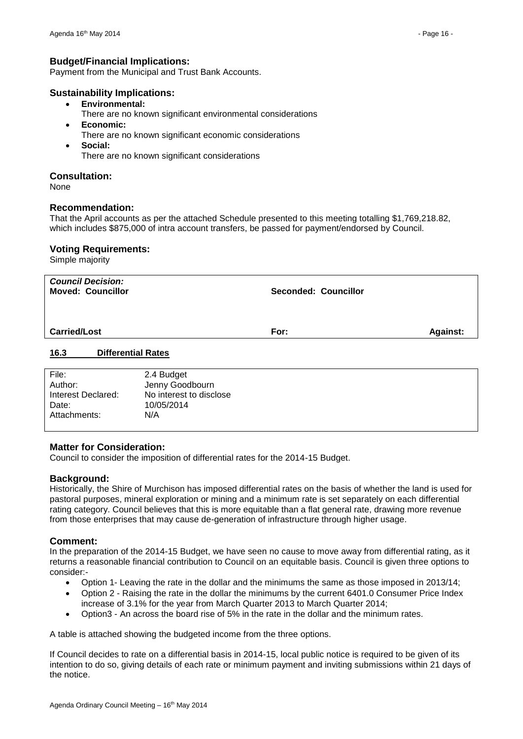## **Budget/Financial Implications:**

Payment from the Municipal and Trust Bank Accounts.

## **Sustainability Implications:**

- **Environmental:**
	- There are no known significant environmental considerations
- **Economic:** There are no known significant economic considerations **Social:**
	- There are no known significant considerations

## **Consultation:**

None

## **Recommendation:**

That the April accounts as per the attached Schedule presented to this meeting totalling \$1,769,218.82, which includes \$875,000 of intra account transfers, be passed for payment/endorsed by Council.

## **Voting Requirements:**

Simple majority

| <b>Council Decision:</b><br><b>Moved: Councillor</b> |                               | <b>Seconded: Councillor</b> |                 |  |  |
|------------------------------------------------------|-------------------------------|-----------------------------|-----------------|--|--|
| <b>Carried/Lost</b>                                  |                               | For:                        | <b>Against:</b> |  |  |
| 16.3                                                 | <b>Differential Rates</b>     |                             |                 |  |  |
| File:<br>Author:                                     | 2.4 Budget<br>Jenny Goodbourn |                             |                 |  |  |

<span id="page-15-0"></span>

| Author:            | Jenny Goodbourn         |
|--------------------|-------------------------|
| Interest Declared: | No interest to disclose |
| Date:              | 10/05/2014              |
| Attachments:       | N/A                     |
|                    |                         |

#### **Matter for Consideration:**

Council to consider the imposition of differential rates for the 2014-15 Budget.

#### **Background:**

Historically, the Shire of Murchison has imposed differential rates on the basis of whether the land is used for pastoral purposes, mineral exploration or mining and a minimum rate is set separately on each differential rating category. Council believes that this is more equitable than a flat general rate, drawing more revenue from those enterprises that may cause de-generation of infrastructure through higher usage.

## **Comment:**

In the preparation of the 2014-15 Budget, we have seen no cause to move away from differential rating, as it returns a reasonable financial contribution to Council on an equitable basis. Council is given three options to consider:-

- Option 1- Leaving the rate in the dollar and the minimums the same as those imposed in 2013/14;
- Option 2 Raising the rate in the dollar the minimums by the current 6401.0 Consumer Price Index increase of 3.1% for the year from March Quarter 2013 to March Quarter 2014;
- Option3 An across the board rise of 5% in the rate in the dollar and the minimum rates.

A table is attached showing the budgeted income from the three options.

If Council decides to rate on a differential basis in 2014-15, local public notice is required to be given of its intention to do so, giving details of each rate or minimum payment and inviting submissions within 21 days of the notice.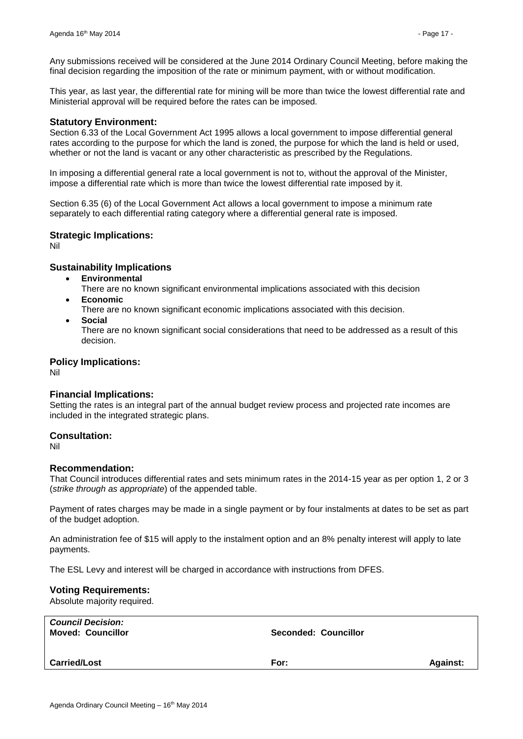Any submissions received will be considered at the June 2014 Ordinary Council Meeting, before making the final decision regarding the imposition of the rate or minimum payment, with or without modification.

This year, as last year, the differential rate for mining will be more than twice the lowest differential rate and Ministerial approval will be required before the rates can be imposed.

#### **Statutory Environment:**

Section 6.33 of the Local Government Act 1995 allows a local government to impose differential general rates according to the purpose for which the land is zoned, the purpose for which the land is held or used, whether or not the land is vacant or any other characteristic as prescribed by the Regulations.

In imposing a differential general rate a local government is not to, without the approval of the Minister, impose a differential rate which is more than twice the lowest differential rate imposed by it.

Section 6.35 (6) of the Local Government Act allows a local government to impose a minimum rate separately to each differential rating category where a differential general rate is imposed.

#### **Strategic Implications:**

Nil

## **Sustainability Implications**

- **Environmental**
	- There are no known significant environmental implications associated with this decision
- **Economic**
	- There are no known significant economic implications associated with this decision.
- **Social**

There are no known significant social considerations that need to be addressed as a result of this decision.

#### **Policy Implications:**

Nil

## **Financial Implications:**

Setting the rates is an integral part of the annual budget review process and projected rate incomes are included in the integrated strategic plans.

#### **Consultation:**

Nil

#### **Recommendation:**

That Council introduces differential rates and sets minimum rates in the 2014-15 year as per option 1, 2 or 3 (*strike through as appropriate*) of the appended table.

Payment of rates charges may be made in a single payment or by four instalments at dates to be set as part of the budget adoption.

An administration fee of \$15 will apply to the instalment option and an 8% penalty interest will apply to late payments.

The ESL Levy and interest will be charged in accordance with instructions from DFES.

#### **Voting Requirements:**

Absolute majority required.

| <b>Council Decision:</b><br><b>Moved: Councillor</b> | Seconded: Councillor |                 |
|------------------------------------------------------|----------------------|-----------------|
| <b>Carried/Lost</b>                                  | For:                 | <b>Against:</b> |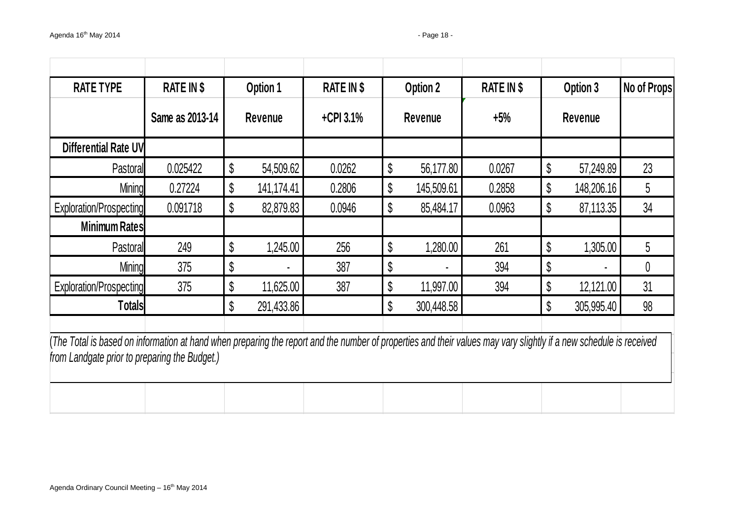| <b>RATE TYPE</b>                                                                                                                                                                                                    | RATE IN \$      |    | Option 1   | <b>RATE IN \$</b> |    | Option 2       | <b>RATE IN \$</b> | Option 3         | No of Props |
|---------------------------------------------------------------------------------------------------------------------------------------------------------------------------------------------------------------------|-----------------|----|------------|-------------------|----|----------------|-------------------|------------------|-------------|
|                                                                                                                                                                                                                     | Same as 2013-14 |    | Revenue    | $+$ CPI 3.1%      |    | <b>Revenue</b> | $+5%$             | Revenue          |             |
| Differential Rate UV                                                                                                                                                                                                |                 |    |            |                   |    |                |                   |                  |             |
| Pastoral                                                                                                                                                                                                            | 0.025422        | \$ | 54,509.62  | 0.0262            | \$ | 56,177.80      | 0.0267            | \$<br>57,249.89  | 23          |
| <b>Mining</b>                                                                                                                                                                                                       | 0.27224         | \$ | 141,174.41 | 0.2806            | \$ | 145,509.61     | 0.2858            | \$<br>148,206.16 | 5           |
| Exploration/Prospecting                                                                                                                                                                                             | 0.091718        | \$ | 82,879.83  | 0.0946            | \$ | 85,484.17      | 0.0963            | \$<br>87,113.35  | 34          |
| <b>Minimum Rates</b>                                                                                                                                                                                                |                 |    |            |                   |    |                |                   |                  |             |
| Pastoral                                                                                                                                                                                                            | 249             | \$ | 1,245.00   | 256               | \$ | 1,280.00       | 261               | \$<br>1,305.00   | 5           |
| <b>Mining</b>                                                                                                                                                                                                       | 375             | \$ |            | 387               | \$ |                | 394               | \$               | 0           |
| Exploration/Prospecting                                                                                                                                                                                             | 375             | \$ | 11,625.00  | 387               | \$ | 11,997.00      | 394               | \$<br>12,121.00  | 31          |
| <b>Totals</b>                                                                                                                                                                                                       |                 | \$ | 291,433.86 |                   | \$ | 300,448.58     |                   | \$<br>305,995.40 | 98          |
| (The Total is based on information at hand when preparing the report and the number of properties and their values may vary slightly if a new schedule is received<br>from Landgate prior to preparing the Budget.) |                 |    |            |                   |    |                |                   |                  |             |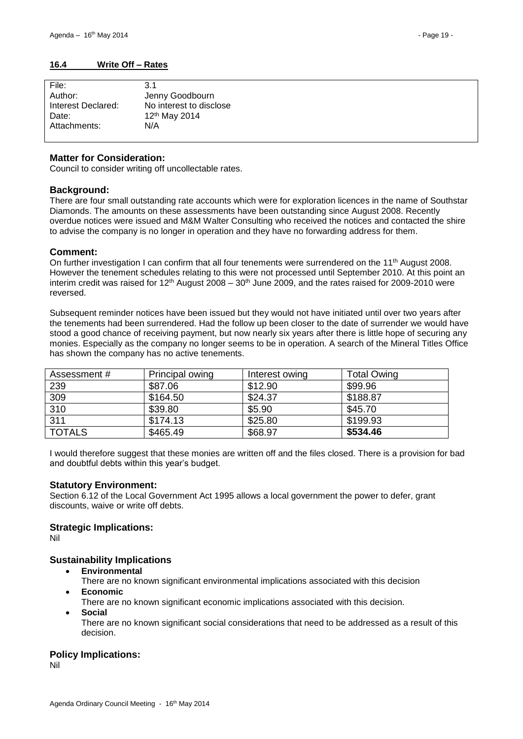<span id="page-18-0"></span>

#### **Matter for Consideration:**

Council to consider writing off uncollectable rates.

#### **Background:**

There are four small outstanding rate accounts which were for exploration licences in the name of Southstar Diamonds. The amounts on these assessments have been outstanding since August 2008. Recently overdue notices were issued and M&M Walter Consulting who received the notices and contacted the shire to advise the company is no longer in operation and they have no forwarding address for them.

#### **Comment:**

On further investigation I can confirm that all four tenements were surrendered on the 11<sup>th</sup> August 2008. However the tenement schedules relating to this were not processed until September 2010. At this point an interim credit was raised for  $12<sup>th</sup>$  August 2008 –  $30<sup>th</sup>$  June 2009, and the rates raised for 2009-2010 were reversed.

Subsequent reminder notices have been issued but they would not have initiated until over two vears after the tenements had been surrendered. Had the follow up been closer to the date of surrender we would have stood a good chance of receiving payment, but now nearly six years after there is little hope of securing any monies. Especially as the company no longer seems to be in operation. A search of the Mineral Titles Office has shown the company has no active tenements.

| Assessment #  | Principal owing | Interest owing | <b>Total Owing</b> |
|---------------|-----------------|----------------|--------------------|
| 239           | \$87.06         | \$12.90        | \$99.96            |
| 309           | \$164.50        | \$24.37        | \$188.87           |
| 310           | \$39.80         | \$5.90         | \$45.70            |
| 311           | \$174.13        | \$25.80        | \$199.93           |
| <b>TOTALS</b> | \$465.49        | \$68.97        | \$534.46           |

I would therefore suggest that these monies are written off and the files closed. There is a provision for bad and doubtful debts within this year's budget.

#### **Statutory Environment:**

Section 6.12 of the Local Government Act 1995 allows a local government the power to defer, grant discounts, waive or write off debts.

#### **Strategic Implications:**

Nil

#### **Sustainability Implications**

- **Environmental**
	- There are no known significant environmental implications associated with this decision
- **Economic**
	- There are no known significant economic implications associated with this decision.
- **Social**
	- There are no known significant social considerations that need to be addressed as a result of this decision.

#### **Policy Implications:**

Nil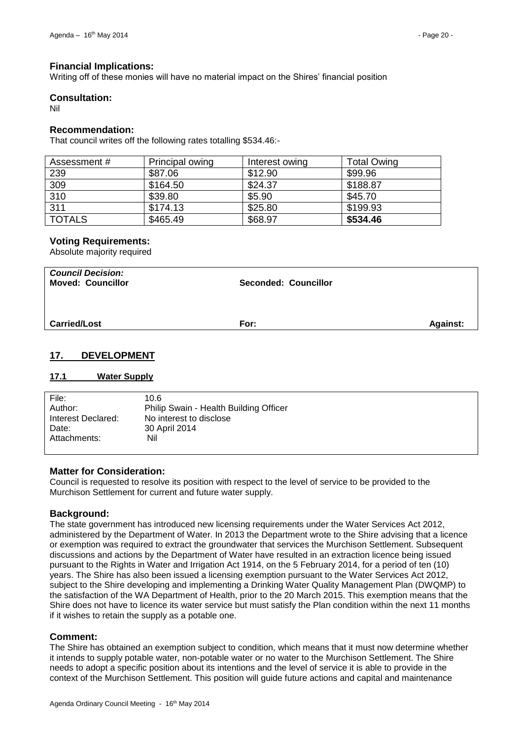#### **Financial Implications:**

Writing off of these monies will have no material impact on the Shires' financial position

#### **Consultation:**

Nil

## **Recommendation:**

That council writes off the following rates totalling \$534.46:-

| Assessment #  | Principal owing | Interest owing | <b>Total Owing</b> |
|---------------|-----------------|----------------|--------------------|
| 239           | \$87.06         | \$12.90        | \$99.96            |
| 309           | \$164.50        | \$24.37        | \$188.87           |
| 310           | \$39.80         | \$5.90         | \$45.70            |
| 311           | \$174.13        | \$25.80        | \$199.93           |
| <b>TOTALS</b> | \$465.49        | \$68.97        | \$534.46           |

## **Voting Requirements:**

Absolute majority required

| <b>Council Decision:</b><br><b>Moved: Councillor</b> | <b>Seconded: Councillor</b> |                 |
|------------------------------------------------------|-----------------------------|-----------------|
| <b>Carried/Lost</b>                                  | For:                        | <b>Against:</b> |
| _. ._. _ _ _ _ _ __                                  |                             |                 |

## <span id="page-19-0"></span>**17. DEVELOPMENT**

#### <span id="page-19-1"></span>**17.1 Water Supply**

| File:              | 10.6                                   |
|--------------------|----------------------------------------|
| Author:            | Philip Swain - Health Building Officer |
| Interest Declared: | No interest to disclose                |
| Date:              | 30 April 2014                          |
| Attachments:       | Nil                                    |

#### **Matter for Consideration:**

Council is requested to resolve its position with respect to the level of service to be provided to the Murchison Settlement for current and future water supply.

#### **Background:**

The state government has introduced new licensing requirements under the Water Services Act 2012, administered by the Department of Water. In 2013 the Department wrote to the Shire advising that a licence or exemption was required to extract the groundwater that services the Murchison Settlement. Subsequent discussions and actions by the Department of Water have resulted in an extraction licence being issued pursuant to the Rights in Water and Irrigation Act 1914, on the 5 February 2014, for a period of ten (10) years. The Shire has also been issued a licensing exemption pursuant to the Water Services Act 2012, subject to the Shire developing and implementing a Drinking Water Quality Management Plan (DWQMP) to the satisfaction of the WA Department of Health, prior to the 20 March 2015. This exemption means that the Shire does not have to licence its water service but must satisfy the Plan condition within the next 11 months if it wishes to retain the supply as a potable one.

#### **Comment:**

The Shire has obtained an exemption subject to condition, which means that it must now determine whether it intends to supply potable water, non-potable water or no water to the Murchison Settlement. The Shire needs to adopt a specific position about its intentions and the level of service it is able to provide in the context of the Murchison Settlement. This position will guide future actions and capital and maintenance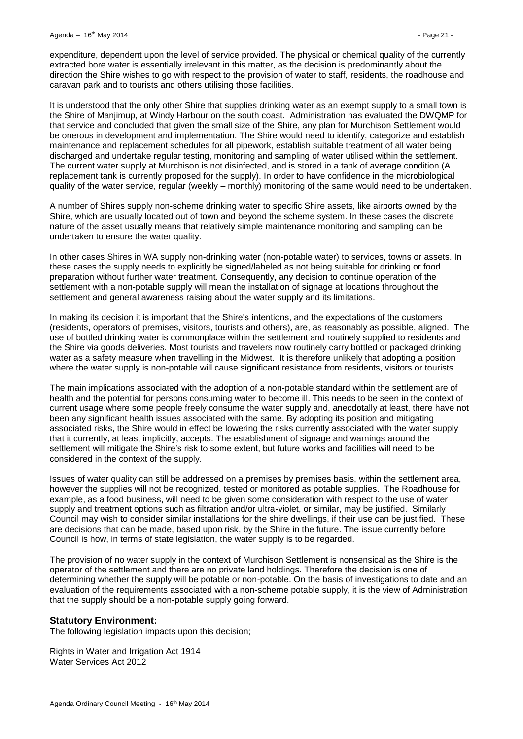expenditure, dependent upon the level of service provided. The physical or chemical quality of the currently extracted bore water is essentially irrelevant in this matter, as the decision is predominantly about the direction the Shire wishes to go with respect to the provision of water to staff, residents, the roadhouse and caravan park and to tourists and others utilising those facilities.

It is understood that the only other Shire that supplies drinking water as an exempt supply to a small town is the Shire of Manjimup, at Windy Harbour on the south coast. Administration has evaluated the DWQMP for that service and concluded that given the small size of the Shire, any plan for Murchison Settlement would be onerous in development and implementation. The Shire would need to identify, categorize and establish maintenance and replacement schedules for all pipework, establish suitable treatment of all water being discharged and undertake regular testing, monitoring and sampling of water utilised within the settlement. The current water supply at Murchison is not disinfected, and is stored in a tank of average condition (A replacement tank is currently proposed for the supply). In order to have confidence in the microbiological quality of the water service, regular (weekly – monthly) monitoring of the same would need to be undertaken.

A number of Shires supply non-scheme drinking water to specific Shire assets, like airports owned by the Shire, which are usually located out of town and beyond the scheme system. In these cases the discrete nature of the asset usually means that relatively simple maintenance monitoring and sampling can be undertaken to ensure the water quality.

In other cases Shires in WA supply non-drinking water (non-potable water) to services, towns or assets. In these cases the supply needs to explicitly be signed/labeled as not being suitable for drinking or food preparation without further water treatment. Consequently, any decision to continue operation of the settlement with a non-potable supply will mean the installation of signage at locations throughout the settlement and general awareness raising about the water supply and its limitations.

In making its decision it is important that the Shire's intentions, and the expectations of the customers (residents, operators of premises, visitors, tourists and others), are, as reasonably as possible, aligned. The use of bottled drinking water is commonplace within the settlement and routinely supplied to residents and the Shire via goods deliveries. Most tourists and travelers now routinely carry bottled or packaged drinking water as a safety measure when travelling in the Midwest. It is therefore unlikely that adopting a position where the water supply is non-potable will cause significant resistance from residents, visitors or tourists.

The main implications associated with the adoption of a non-potable standard within the settlement are of health and the potential for persons consuming water to become ill. This needs to be seen in the context of current usage where some people freely consume the water supply and, anecdotally at least, there have not been any significant health issues associated with the same. By adopting its position and mitigating associated risks, the Shire would in effect be lowering the risks currently associated with the water supply that it currently, at least implicitly, accepts. The establishment of signage and warnings around the settlement will mitigate the Shire's risk to some extent, but future works and facilities will need to be considered in the context of the supply.

Issues of water quality can still be addressed on a premises by premises basis, within the settlement area, however the supplies will not be recognized, tested or monitored as potable supplies. The Roadhouse for example, as a food business, will need to be given some consideration with respect to the use of water supply and treatment options such as filtration and/or ultra-violet, or similar, may be justified. Similarly Council may wish to consider similar installations for the shire dwellings, if their use can be justified. These are decisions that can be made, based upon risk, by the Shire in the future. The issue currently before Council is how, in terms of state legislation, the water supply is to be regarded.

The provision of no water supply in the context of Murchison Settlement is nonsensical as the Shire is the operator of the settlement and there are no private land holdings. Therefore the decision is one of determining whether the supply will be potable or non-potable. On the basis of investigations to date and an evaluation of the requirements associated with a non-scheme potable supply, it is the view of Administration that the supply should be a non-potable supply going forward.

#### **Statutory Environment:**

The following legislation impacts upon this decision;

Rights in Water and Irrigation Act 1914 Water Services Act 2012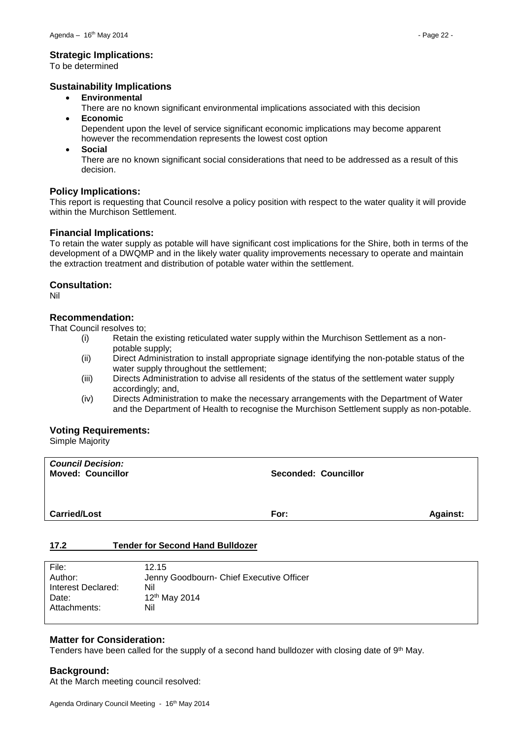#### **Strategic Implications:**

To be determined

## **Sustainability Implications**

- **Environmental**
- There are no known significant environmental implications associated with this decision **Economic**
	- Dependent upon the level of service significant economic implications may become apparent however the recommendation represents the lowest cost option
- **Social**

There are no known significant social considerations that need to be addressed as a result of this decision.

## **Policy Implications:**

This report is requesting that Council resolve a policy position with respect to the water quality it will provide within the Murchison Settlement.

## **Financial Implications:**

To retain the water supply as potable will have significant cost implications for the Shire, both in terms of the development of a DWQMP and in the likely water quality improvements necessary to operate and maintain the extraction treatment and distribution of potable water within the settlement.

## **Consultation:**

Nil

## **Recommendation:**

That Council resolves to;

- (i) Retain the existing reticulated water supply within the Murchison Settlement as a nonpotable supply;
- (ii) Direct Administration to install appropriate signage identifying the non-potable status of the water supply throughout the settlement;
- (iii) Directs Administration to advise all residents of the status of the settlement water supply accordingly; and,
- (iv) Directs Administration to make the necessary arrangements with the Department of Water and the Department of Health to recognise the Murchison Settlement supply as non-potable.

#### **Voting Requirements:**

Simple Majority

| <b>Council Decision:</b><br><b>Moved: Councillor</b> | <b>Seconded: Councillor</b> |                 |
|------------------------------------------------------|-----------------------------|-----------------|
| <b>Carried/Lost</b>                                  | For:                        | <b>Against:</b> |

#### <span id="page-21-0"></span>**17.2 Tender for Second Hand Bulldozer**

| File:              | 12.15                                    |
|--------------------|------------------------------------------|
| Author:            | Jenny Goodbourn- Chief Executive Officer |
| Interest Declared: | Nil                                      |
| Date:              | 12 <sup>th</sup> May 2014                |
| Attachments:       | Nil                                      |
|                    |                                          |

## **Matter for Consideration:**

Tenders have been called for the supply of a second hand bulldozer with closing date of 9th May.

#### **Background:**

At the March meeting council resolved: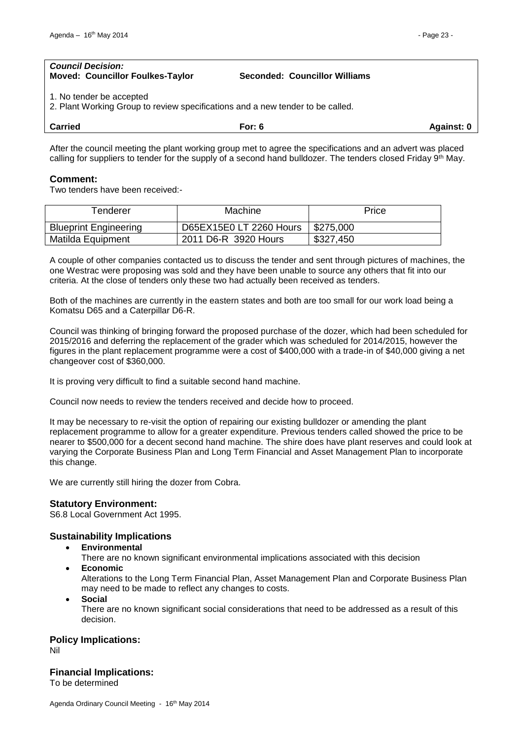#### *Council Decision:* **Moved: Councillor Foulkes-Taylor Seconded: Councillor Williams**

1. No tender be accepted

2. Plant Working Group to review specifications and a new tender to be called.

| <b>Carried</b> | or: 6 | Against <sup>.</sup> |
|----------------|-------|----------------------|
|                |       |                      |

After the council meeting the plant working group met to agree the specifications and an advert was placed calling for suppliers to tender for the supply of a second hand bulldozer. The tenders closed Friday 9<sup>th</sup> May.

## **Comment:**

Two tenders have been received:-

| <b>Fenderer</b>              | Machine                 | Price     |
|------------------------------|-------------------------|-----------|
| <b>Blueprint Engineering</b> | D65EX15E0 LT 2260 Hours | \$275,000 |
| Matilda Equipment            | 2011 D6-R 3920 Hours    | \$327,450 |

A couple of other companies contacted us to discuss the tender and sent through pictures of machines, the one Westrac were proposing was sold and they have been unable to source any others that fit into our criteria. At the close of tenders only these two had actually been received as tenders.

Both of the machines are currently in the eastern states and both are too small for our work load being a Komatsu D65 and a Caterpillar D6-R.

Council was thinking of bringing forward the proposed purchase of the dozer, which had been scheduled for 2015/2016 and deferring the replacement of the grader which was scheduled for 2014/2015, however the figures in the plant replacement programme were a cost of \$400,000 with a trade-in of \$40,000 giving a net changeover cost of \$360,000.

It is proving very difficult to find a suitable second hand machine.

Council now needs to review the tenders received and decide how to proceed.

It may be necessary to re-visit the option of repairing our existing bulldozer or amending the plant replacement programme to allow for a greater expenditure. Previous tenders called showed the price to be nearer to \$500,000 for a decent second hand machine. The shire does have plant reserves and could look at varying the Corporate Business Plan and Long Term Financial and Asset Management Plan to incorporate this change.

We are currently still hiring the dozer from Cobra.

#### **Statutory Environment:**

S6.8 Local Government Act 1995.

## **Sustainability Implications**

**Environmental**

There are no known significant environmental implications associated with this decision

**Economic**

Alterations to the Long Term Financial Plan, Asset Management Plan and Corporate Business Plan may need to be made to reflect any changes to costs.

**Social**

There are no known significant social considerations that need to be addressed as a result of this decision.

## **Policy Implications:**

Nil

#### **Financial Implications:**

To be determined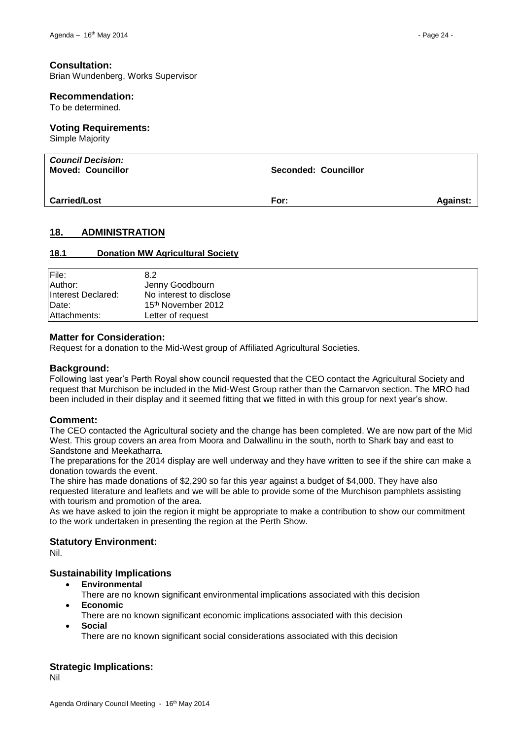#### **Consultation:**

Brian Wundenberg, Works Supervisor

#### **Recommendation:**

To be determined.

#### **Voting Requirements:**

Simple Majority

| <b>Council Decision:</b><br><b>Moved: Councillor</b> | <b>Seconded: Councillor</b> |                 |
|------------------------------------------------------|-----------------------------|-----------------|
| <b>Carried/Lost</b>                                  | For:                        | <b>Against:</b> |

## <span id="page-23-0"></span>**18. ADMINISTRATION**

#### <span id="page-23-1"></span>**18.1 Donation MW Agricultural Society**

| File:              | 8.2                            |
|--------------------|--------------------------------|
| Author:            | Jenny Goodbourn                |
| Interest Declared: | No interest to disclose        |
| Date:              | 15 <sup>th</sup> November 2012 |
| Attachments:       | Letter of request              |

#### **Matter for Consideration:**

Request for a donation to the Mid-West group of Affiliated Agricultural Societies.

#### **Background:**

Following last year's Perth Royal show council requested that the CEO contact the Agricultural Society and request that Murchison be included in the Mid-West Group rather than the Carnarvon section. The MRO had been included in their display and it seemed fitting that we fitted in with this group for next year's show.

#### **Comment:**

The CEO contacted the Agricultural society and the change has been completed. We are now part of the Mid West. This group covers an area from Moora and Dalwallinu in the south, north to Shark bay and east to Sandstone and Meekatharra.

The preparations for the 2014 display are well underway and they have written to see if the shire can make a donation towards the event.

The shire has made donations of \$2,290 so far this year against a budget of \$4,000. They have also requested literature and leaflets and we will be able to provide some of the Murchison pamphlets assisting with tourism and promotion of the area.

As we have asked to join the region it might be appropriate to make a contribution to show our commitment to the work undertaken in presenting the region at the Perth Show.

#### **Statutory Environment:**

Nil.

#### **Sustainability Implications**

- **Environmental**
	- There are no known significant environmental implications associated with this decision
- **Economic**
	- There are no known significant economic implications associated with this decision
- **Social**

There are no known significant social considerations associated with this decision

#### **Strategic Implications:**

Nil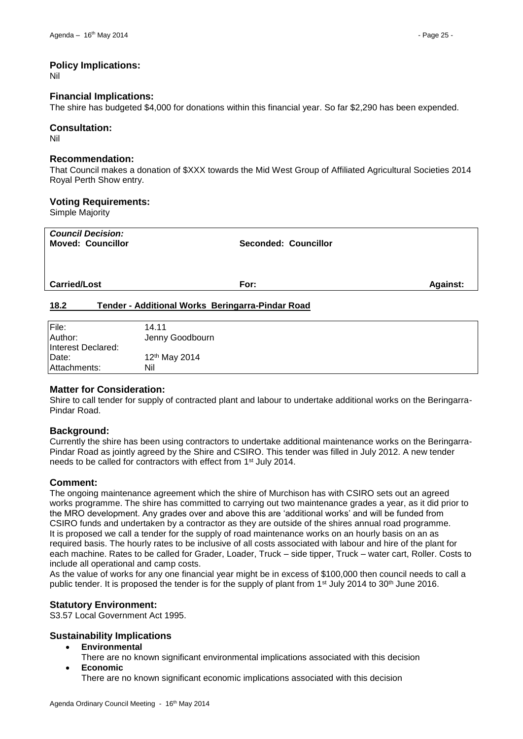Nil

#### **Financial Implications:**

The shire has budgeted \$4,000 for donations within this financial year. So far \$2,290 has been expended.

#### **Consultation:**

Nil

#### **Recommendation:**

That Council makes a donation of \$XXX towards the Mid West Group of Affiliated Agricultural Societies 2014 Royal Perth Show entry.

#### **Voting Requirements:**

Simple Majority

| <b>Council Decision:</b><br><b>Moved: Councillor</b> | Seconded: Councillor                             |                 |
|------------------------------------------------------|--------------------------------------------------|-----------------|
| <b>Carried/Lost</b>                                  | For:                                             | <b>Against:</b> |
| 18.2                                                 | Tender - Additional Works Beringarra-Pindar Road |                 |

## <span id="page-24-0"></span>File: 14.11 Author: **Jenny Goodbourn**

| Author:            | Jenny Goodbourn           |
|--------------------|---------------------------|
| Interest Declared: |                           |
| Date:              | 12 <sup>th</sup> May 2014 |
| Attachments:       | Nil                       |
|                    |                           |

## **Matter for Consideration:**

Shire to call tender for supply of contracted plant and labour to undertake additional works on the Beringarra-Pindar Road.

## **Background:**

Currently the shire has been using contractors to undertake additional maintenance works on the Beringarra-Pindar Road as jointly agreed by the Shire and CSIRO. This tender was filled in July 2012. A new tender needs to be called for contractors with effect from 1st July 2014.

## **Comment:**

The ongoing maintenance agreement which the shire of Murchison has with CSIRO sets out an agreed works programme. The shire has committed to carrying out two maintenance grades a year, as it did prior to the MRO development. Any grades over and above this are 'additional works' and will be funded from CSIRO funds and undertaken by a contractor as they are outside of the shires annual road programme. It is proposed we call a tender for the supply of road maintenance works on an hourly basis on an as required basis. The hourly rates to be inclusive of all costs associated with labour and hire of the plant for each machine. Rates to be called for Grader, Loader, Truck – side tipper, Truck – water cart, Roller. Costs to include all operational and camp costs.

As the value of works for any one financial year might be in excess of \$100,000 then council needs to call a public tender. It is proposed the tender is for the supply of plant from 1<sup>st</sup> July 2014 to 30<sup>th</sup> June 2016.

## **Statutory Environment:**

S3.57 Local Government Act 1995.

## **Sustainability Implications**

- **Environmental**
	- There are no known significant environmental implications associated with this decision
- **Economic**

There are no known significant economic implications associated with this decision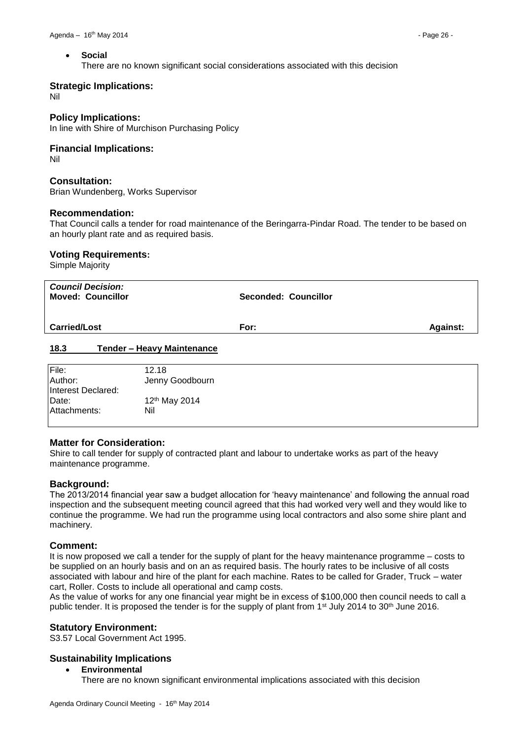#### **Social**

There are no known significant social considerations associated with this decision

#### **Strategic Implications:**

Nil

#### **Policy Implications:**

In line with Shire of Murchison Purchasing Policy

#### **Financial Implications:**

Nil

#### **Consultation:**

Brian Wundenberg, Works Supervisor

#### **Recommendation:**

That Council calls a tender for road maintenance of the Beringarra-Pindar Road. The tender to be based on an hourly plant rate and as required basis.

#### **Voting Requirements:**

Simple Majority

| <b>Council Decision:</b><br><b>Moved: Councillor</b> | Seconded: Councillor |                 |
|------------------------------------------------------|----------------------|-----------------|
| <b>Carried/Lost</b>                                  | For:                 | <b>Against:</b> |
| 18.3<br><b>Tender - Heavy Maintenance</b>            |                      |                 |

<span id="page-25-0"></span>

| File:              | 12.18                     |
|--------------------|---------------------------|
| Author:            | Jenny Goodbourn           |
| Interest Declared: |                           |
| Date:              | 12 <sup>th</sup> May 2014 |
| Attachments:       | Nil                       |
|                    |                           |

#### **Matter for Consideration:**

Shire to call tender for supply of contracted plant and labour to undertake works as part of the heavy maintenance programme.

#### **Background:**

The 2013/2014 financial year saw a budget allocation for 'heavy maintenance' and following the annual road inspection and the subsequent meeting council agreed that this had worked very well and they would like to continue the programme. We had run the programme using local contractors and also some shire plant and machinery.

#### **Comment:**

It is now proposed we call a tender for the supply of plant for the heavy maintenance programme – costs to be supplied on an hourly basis and on an as required basis. The hourly rates to be inclusive of all costs associated with labour and hire of the plant for each machine. Rates to be called for Grader, Truck – water cart, Roller. Costs to include all operational and camp costs.

As the value of works for any one financial year might be in excess of \$100,000 then council needs to call a public tender. It is proposed the tender is for the supply of plant from 1<sup>st</sup> July 2014 to 30<sup>th</sup> June 2016.

#### **Statutory Environment:**

S3.57 Local Government Act 1995.

#### **Sustainability Implications**

- **Environmental**
	- There are no known significant environmental implications associated with this decision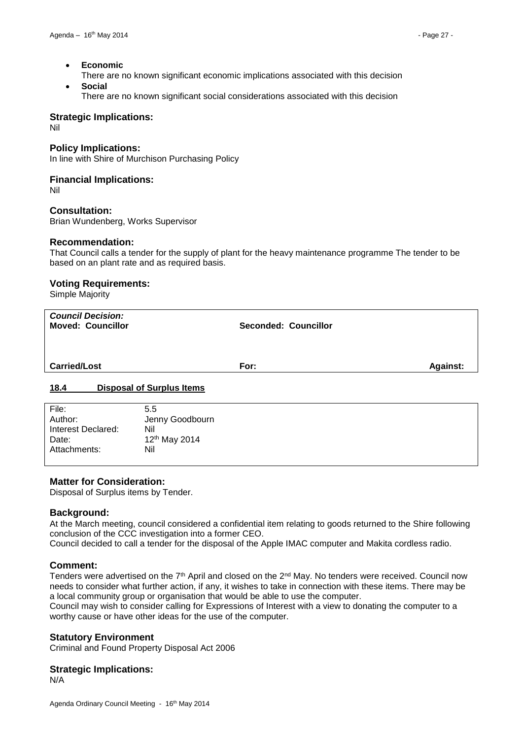- **Economic**
- There are no known significant economic implications associated with this decision **Social**
	- There are no known significant social considerations associated with this decision

#### **Strategic Implications:**

Nil

#### **Policy Implications:**

In line with Shire of Murchison Purchasing Policy

#### **Financial Implications:**

Nil

#### **Consultation:**

Brian Wundenberg, Works Supervisor

#### **Recommendation:**

That Council calls a tender for the supply of plant for the heavy maintenance programme The tender to be based on an plant rate and as required basis.

#### **Voting Requirements:**

Simple Majority

| <b>Council Decision:</b><br><b>Moved: Councillor</b> | <b>Seconded: Councillor</b> |                 |
|------------------------------------------------------|-----------------------------|-----------------|
| <b>Carried/Lost</b>                                  | For:                        | <b>Against:</b> |
| <u>18.4</u><br><b>Disposal of Surplus Items</b>      |                             |                 |

<span id="page-26-0"></span>

| File:              | 5.5                       |
|--------------------|---------------------------|
| Author:            | Jenny Goodbourn           |
| Interest Declared: | Nil                       |
| Date:              | 12 <sup>th</sup> May 2014 |
| Attachments:       | Nil                       |
|                    |                           |

#### **Matter for Consideration:**

Disposal of Surplus items by Tender.

#### **Background:**

At the March meeting, council considered a confidential item relating to goods returned to the Shire following conclusion of the CCC investigation into a former CEO.

Council decided to call a tender for the disposal of the Apple IMAC computer and Makita cordless radio.

#### **Comment:**

Tenders were advertised on the  $7<sup>th</sup>$  April and closed on the  $2<sup>nd</sup>$  May. No tenders were received. Council now needs to consider what further action, if any, it wishes to take in connection with these items. There may be a local community group or organisation that would be able to use the computer.

Council may wish to consider calling for Expressions of Interest with a view to donating the computer to a worthy cause or have other ideas for the use of the computer.

#### **Statutory Environment**

Criminal and Found Property Disposal Act 2006

#### **Strategic Implications:**

N/A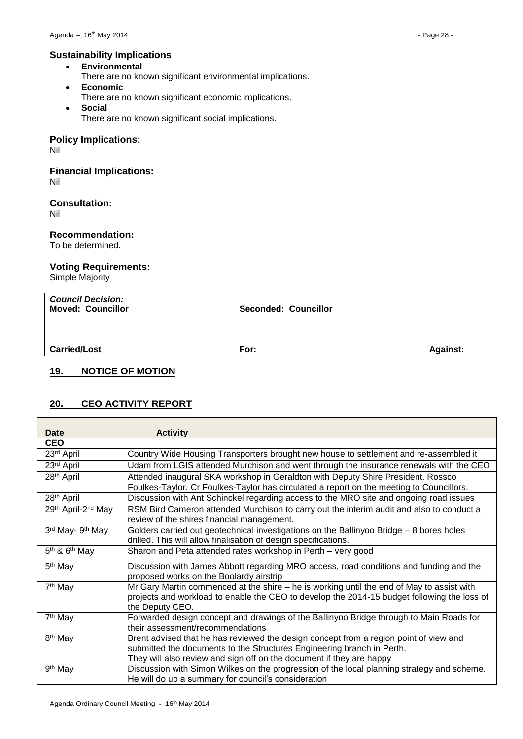## **Sustainability Implications**

- **Environmental**
- There are no known significant environmental implications.
- **Economic**
	- There are no known significant economic implications.
- **Social** There are no known significant social implications.

## **Policy Implications:**

Nil

#### **Financial Implications:** Nil

## **Consultation:**

Nil

## **Recommendation:**

To be determined.

## **Voting Requirements:**

Simple Majority

| <b>Council Decision:</b><br><b>Moved: Councillor</b> | <b>Seconded: Councillor</b> |                 |
|------------------------------------------------------|-----------------------------|-----------------|
| <b>Carried/Lost</b>                                  | For:                        | <b>Against:</b> |
| 19.<br><b>NOTICE OF MOTION</b>                       |                             |                 |

## <span id="page-27-1"></span><span id="page-27-0"></span>**20. CEO ACTIVITY REPORT**

| Date                   | <b>Activity</b>                                                                             |  |  |
|------------------------|---------------------------------------------------------------------------------------------|--|--|
| <b>CEO</b>             |                                                                                             |  |  |
| 23rd April             | Country Wide Housing Transporters brought new house to settlement and re-assembled it       |  |  |
| 23rd April             | Udam from LGIS attended Murchison and went through the insurance renewals with the CEO      |  |  |
| 28 <sup>th</sup> April | Attended inaugural SKA workshop in Geraldton with Deputy Shire President. Rossco            |  |  |
|                        | Foulkes-Taylor. Cr Foulkes-Taylor has circulated a report on the meeting to Councillors.    |  |  |
| 28 <sup>th</sup> April | Discussion with Ant Schinckel regarding access to the MRO site and ongoing road issues      |  |  |
| 29th April-2nd May     | RSM Bird Cameron attended Murchison to carry out the interim audit and also to conduct a    |  |  |
|                        | review of the shires financial management.                                                  |  |  |
| 3rd May- 9th May       | Golders carried out geotechnical investigations on the Ballinyoo Bridge - 8 bores holes     |  |  |
|                        | drilled. This will allow finalisation of design specifications.                             |  |  |
| $5th$ & $6th$ May      | Sharon and Peta attended rates workshop in Perth - very good                                |  |  |
| 5 <sup>th</sup> May    | Discussion with James Abbott regarding MRO access, road conditions and funding and the      |  |  |
|                        | proposed works on the Boolardy airstrip                                                     |  |  |
| 7 <sup>th</sup> May    | Mr Gary Martin commenced at the shire – he is working until the end of May to assist with   |  |  |
|                        | projects and workload to enable the CEO to develop the 2014-15 budget following the loss of |  |  |
|                        | the Deputy CEO.                                                                             |  |  |
| 7 <sup>th</sup> May    | Forwarded design concept and drawings of the Ballinyoo Bridge through to Main Roads for     |  |  |
|                        | their assessment/recommendations                                                            |  |  |
| 8 <sup>th</sup> May    | Brent advised that he has reviewed the design concept from a region point of view and       |  |  |
|                        | submitted the documents to the Structures Engineering branch in Perth.                      |  |  |
|                        | They will also review and sign off on the document if they are happy                        |  |  |
| 9 <sup>th</sup> May    | Discussion with Simon Wilkes on the progression of the local planning strategy and scheme.  |  |  |
|                        | He will do up a summary for council's consideration                                         |  |  |